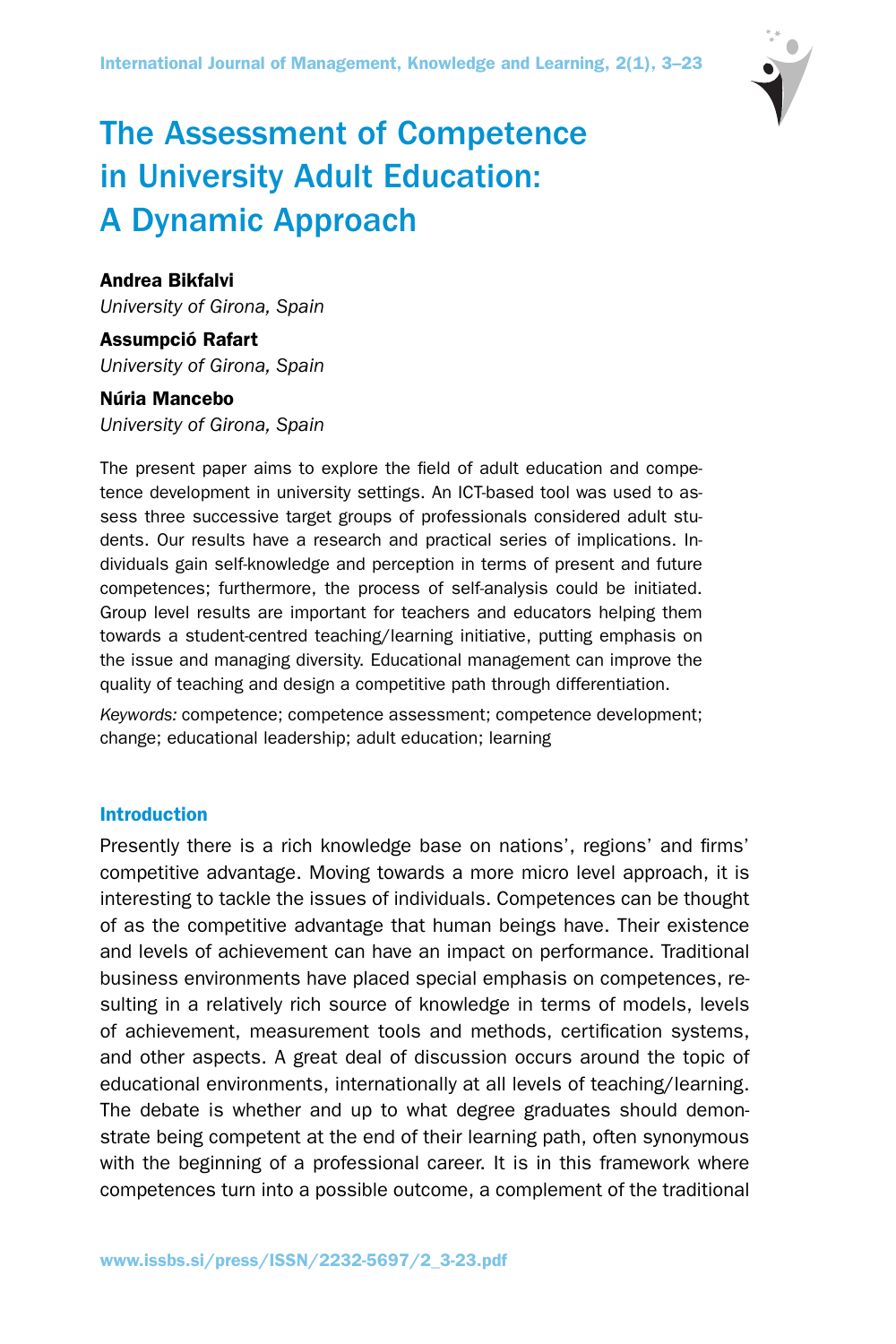

# The Assessment of Competence in University Adult Education: A Dynamic Approach

# Andrea Bikfalvi

*University of Girona, Spain*

# Assumpció Rafart *University of Girona, Spain*

## Núria Mancebo

*University of Girona, Spain*

The present paper aims to explore the field of adult education and competence development in university settings. An ICT-based tool was used to assess three successive target groups of professionals considered adult students. Our results have a research and practical series of implications. Individuals gain self-knowledge and perception in terms of present and future competences; furthermore, the process of self-analysis could be initiated. Group level results are important for teachers and educators helping them towards a student-centred teaching/learning initiative, putting emphasis on the issue and managing diversity. Educational management can improve the quality of teaching and design a competitive path through differentiation.

*Keywords:* competence; competence assessment; competence development; change; educational leadership; adult education; learning

## Introduction

Presently there is a rich knowledge base on nations', regions' and firms' competitive advantage. Moving towards a more micro level approach, it is interesting to tackle the issues of individuals. Competences can be thought of as the competitive advantage that human beings have. Their existence and levels of achievement can have an impact on performance. Traditional business environments have placed special emphasis on competences, resulting in a relatively rich source of knowledge in terms of models, levels of achievement, measurement tools and methods, certification systems, and other aspects. A great deal of discussion occurs around the topic of educational environments, internationally at all levels of teaching/learning. The debate is whether and up to what degree graduates should demonstrate being competent at the end of their learning path, often synonymous with the beginning of a professional career. It is in this framework where competences turn into a possible outcome, a complement of the traditional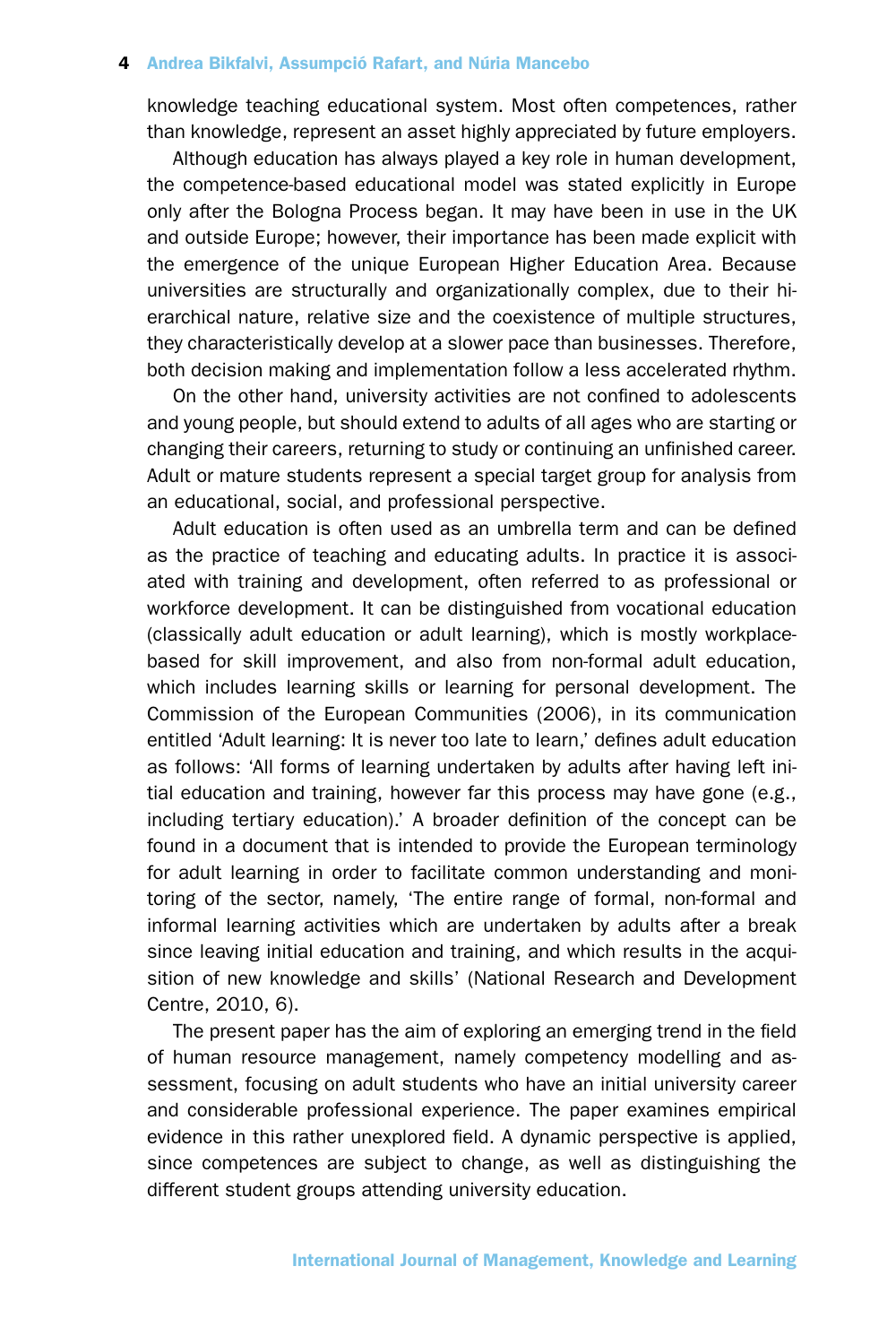knowledge teaching educational system. Most often competences, rather than knowledge, represent an asset highly appreciated by future employers.

Although education has always played a key role in human development, the competence-based educational model was stated explicitly in Europe only after the Bologna Process began. It may have been in use in the UK and outside Europe; however, their importance has been made explicit with the emergence of the unique European Higher Education Area. Because universities are structurally and organizationally complex, due to their hierarchical nature, relative size and the coexistence of multiple structures, they characteristically develop at a slower pace than businesses. Therefore, both decision making and implementation follow a less accelerated rhythm.

On the other hand, university activities are not confined to adolescents and young people, but should extend to adults of all ages who are starting or changing their careers, returning to study or continuing an unfinished career. Adult or mature students represent a special target group for analysis from an educational, social, and professional perspective.

Adult education is often used as an umbrella term and can be defined as the practice of teaching and educating adults. In practice it is associated with training and development, often referred to as professional or workforce development. It can be distinguished from vocational education (classically adult education or adult learning), which is mostly workplacebased for skill improvement, and also from non-formal adult education, which includes learning skills or learning for personal development. The Commission of the European Communities (2006), in its communication entitled 'Adult learning: It is never too late to learn,' defines adult education as follows: 'All forms of learning undertaken by adults after having left initial education and training, however far this process may have gone (e.g., including tertiary education).' A broader definition of the concept can be found in a document that is intended to provide the European terminology for adult learning in order to facilitate common understanding and monitoring of the sector, namely, 'The entire range of formal, non-formal and informal learning activities which are undertaken by adults after a break since leaving initial education and training, and which results in the acquisition of new knowledge and skills' (National Research and Development Centre, 2010, 6).

The present paper has the aim of exploring an emerging trend in the field of human resource management, namely competency modelling and assessment, focusing on adult students who have an initial university career and considerable professional experience. The paper examines empirical evidence in this rather unexplored field. A dynamic perspective is applied, since competences are subject to change, as well as distinguishing the different student groups attending university education.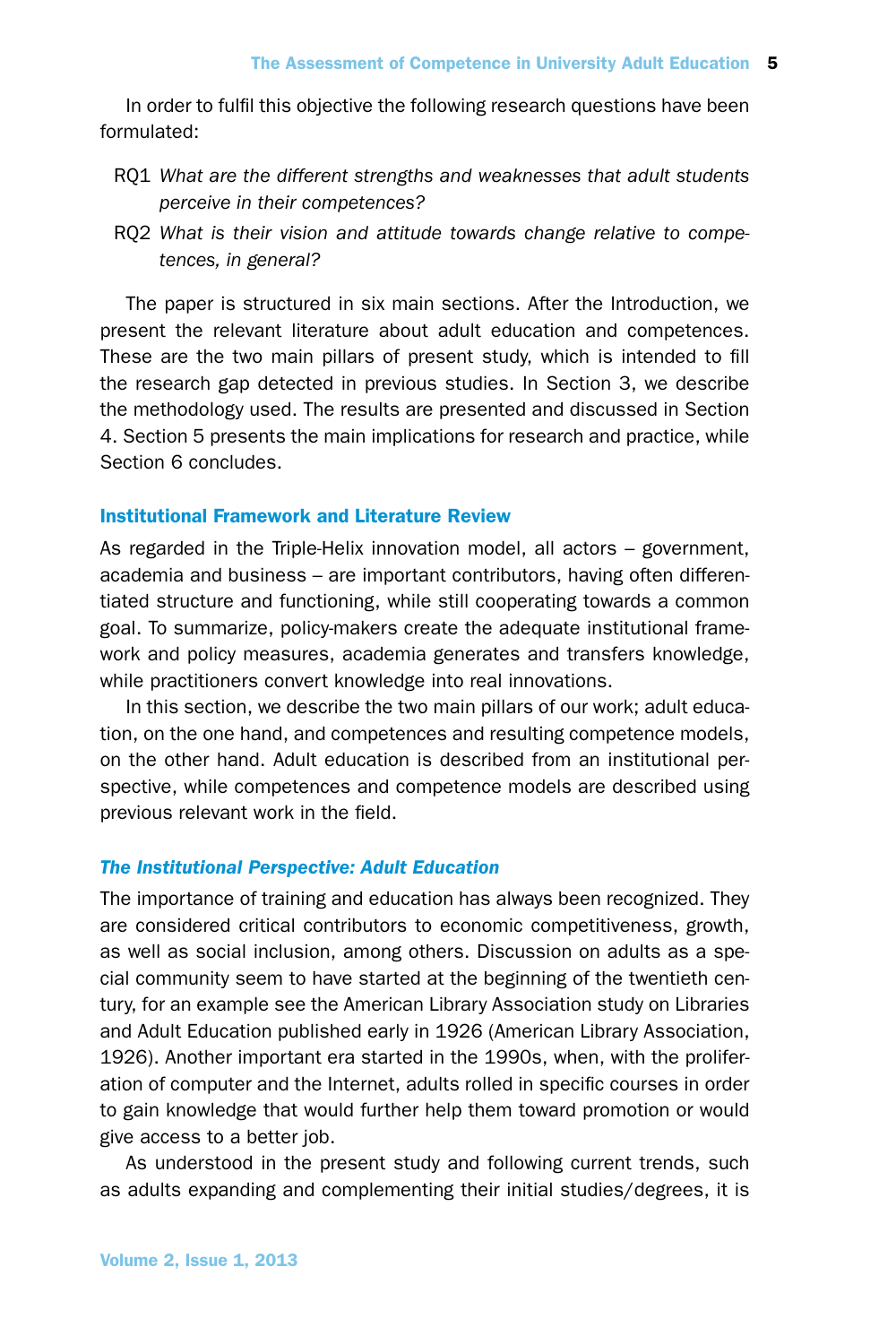In order to fulfil this objective the following research questions have been formulated:

- RQ1 *What are the different strengths and weaknesses that adult students perceive in their competences?*
- RQ2 *What is their vision and attitude towards change relative to competences, in general?*

The paper is structured in six main sections. After the Introduction, we present the relevant literature about adult education and competences. These are the two main pillars of present study, which is intended to fill the research gap detected in previous studies. In Section 3, we describe the methodology used. The results are presented and discussed in Section 4. Section 5 presents the main implications for research and practice, while Section 6 concludes.

## Institutional Framework and Literature Review

As regarded in the Triple-Helix innovation model, all actors – government, academia and business – are important contributors, having often differentiated structure and functioning, while still cooperating towards a common goal. To summarize, policy-makers create the adequate institutional framework and policy measures, academia generates and transfers knowledge, while practitioners convert knowledge into real innovations.

In this section, we describe the two main pillars of our work; adult education, on the one hand, and competences and resulting competence models, on the other hand. Adult education is described from an institutional perspective, while competences and competence models are described using previous relevant work in the field.

## *The Institutional Perspective: Adult Education*

The importance of training and education has always been recognized. They are considered critical contributors to economic competitiveness, growth, as well as social inclusion, among others. Discussion on adults as a special community seem to have started at the beginning of the twentieth century, for an example see the American Library Association study on Libraries and Adult Education published early in 1926 (American Library Association, 1926). Another important era started in the 1990s, when, with the proliferation of computer and the Internet, adults rolled in specific courses in order to gain knowledge that would further help them toward promotion or would give access to a better job.

As understood in the present study and following current trends, such as adults expanding and complementing their initial studies/degrees, it is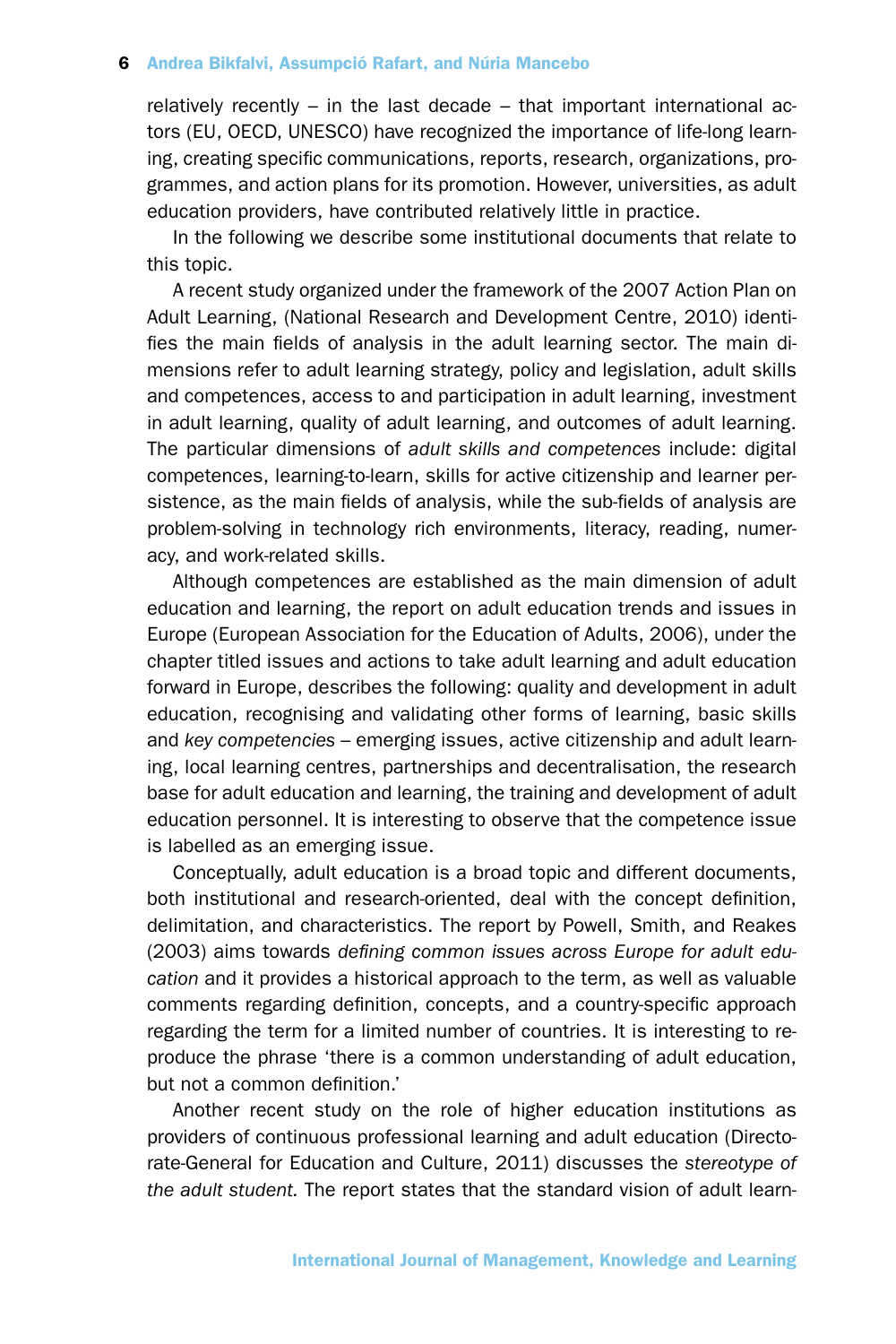relatively recently  $-$  in the last decade  $-$  that important international actors (EU, OECD, UNESCO) have recognized the importance of life-long learning, creating specific communications, reports, research, organizations, programmes, and action plans for its promotion. However, universities, as adult education providers, have contributed relatively little in practice.

In the following we describe some institutional documents that relate to this topic.

A recent study organized under the framework of the 2007 Action Plan on Adult Learning, (National Research and Development Centre, 2010) identifies the main fields of analysis in the adult learning sector. The main dimensions refer to adult learning strategy, policy and legislation, adult skills and competences, access to and participation in adult learning, investment in adult learning, quality of adult learning, and outcomes of adult learning. The particular dimensions of *adult skills and competences* include: digital competences, learning-to-learn, skills for active citizenship and learner persistence, as the main fields of analysis, while the sub-fields of analysis are problem-solving in technology rich environments, literacy, reading, numeracy, and work-related skills.

Although competences are established as the main dimension of adult education and learning, the report on adult education trends and issues in Europe (European Association for the Education of Adults, 2006), under the chapter titled issues and actions to take adult learning and adult education forward in Europe, describes the following: quality and development in adult education, recognising and validating other forms of learning, basic skills and *key competencies* – emerging issues, active citizenship and adult learning, local learning centres, partnerships and decentralisation, the research base for adult education and learning, the training and development of adult education personnel. It is interesting to observe that the competence issue is labelled as an emerging issue.

Conceptually, adult education is a broad topic and different documents, both institutional and research-oriented, deal with the concept definition, delimitation, and characteristics. The report by Powell, Smith, and Reakes (2003) aims towards *defining common issues across Europe for adult education* and it provides a historical approach to the term, as well as valuable comments regarding definition, concepts, and a country-specific approach regarding the term for a limited number of countries. It is interesting to reproduce the phrase 'there is a common understanding of adult education, but not a common definition.'

Another recent study on the role of higher education institutions as providers of continuous professional learning and adult education (Directorate-General for Education and Culture, 2011) discusses the *stereotype of the adult student.* The report states that the standard vision of adult learn-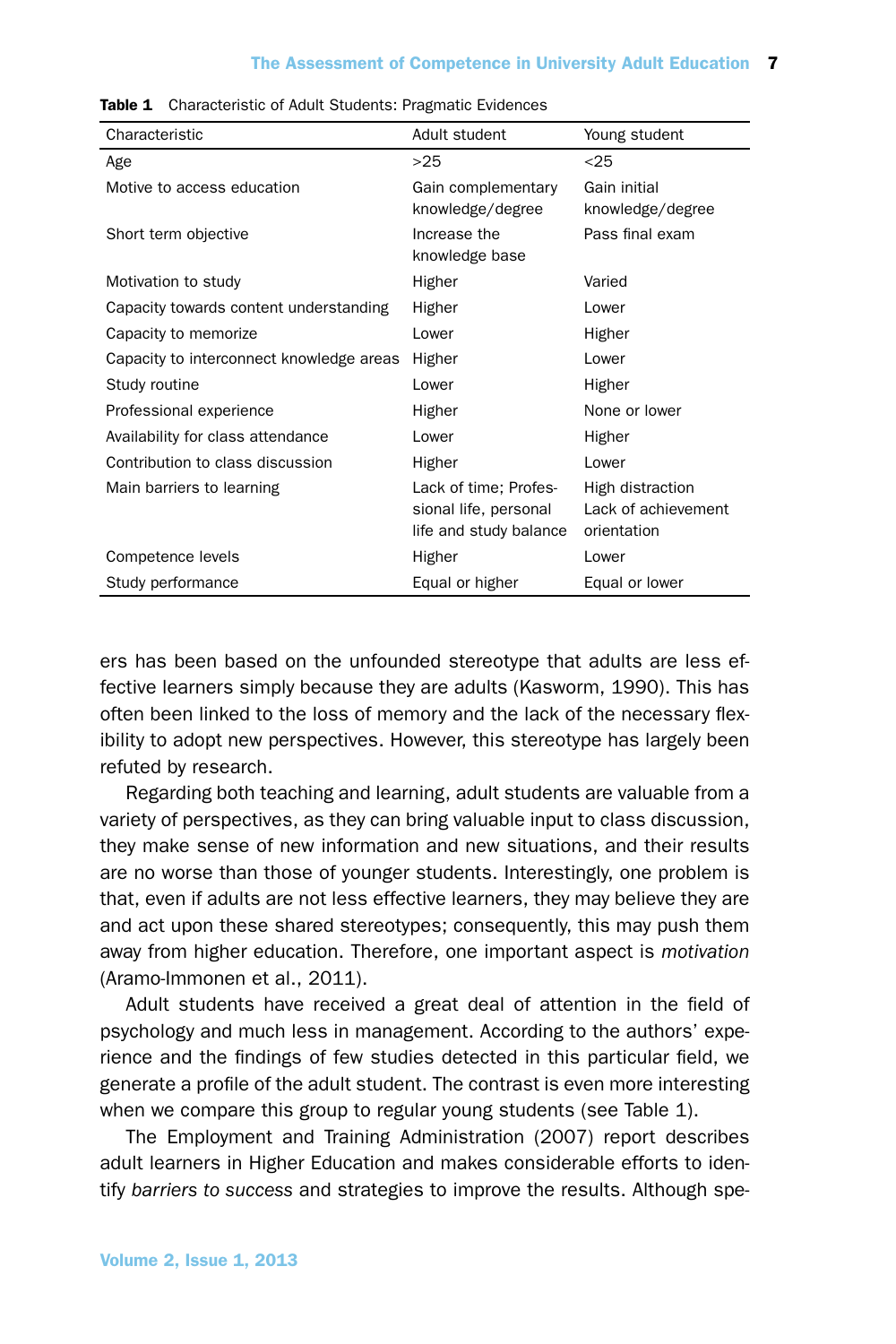#### The Assessment of Competence in University Adult Education 7

| Characteristic                           | Adult student                                                            | Young student                                          |
|------------------------------------------|--------------------------------------------------------------------------|--------------------------------------------------------|
| Age                                      | >25                                                                      | $25$                                                   |
| Motive to access education               | Gain complementary<br>knowledge/degree                                   | Gain initial<br>knowledge/degree                       |
| Short term objective                     | Increase the<br>knowledge base                                           | Pass final exam                                        |
| Motivation to study                      | Higher                                                                   | Varied                                                 |
| Capacity towards content understanding   | Higher                                                                   | Lower                                                  |
| Capacity to memorize                     | Lower                                                                    | Higher                                                 |
| Capacity to interconnect knowledge areas | Higher                                                                   | Lower                                                  |
| Study routine                            | Lower                                                                    | Higher                                                 |
| Professional experience                  | Higher                                                                   | None or lower                                          |
| Availability for class attendance        | Lower                                                                    | Higher                                                 |
| Contribution to class discussion         | Higher                                                                   | Lower                                                  |
| Main barriers to learning                | Lack of time; Profes-<br>sional life, personal<br>life and study balance | High distraction<br>Lack of achievement<br>orientation |
| Competence levels                        | Higher                                                                   | Lower                                                  |
| Study performance                        | Equal or higher                                                          | Equal or lower                                         |

| <b>Table 1</b> Characteristic of Adult Students: Pragmatic Evidences |  |  |
|----------------------------------------------------------------------|--|--|

ers has been based on the unfounded stereotype that adults are less effective learners simply because they are adults (Kasworm, 1990). This has often been linked to the loss of memory and the lack of the necessary flexibility to adopt new perspectives. However, this stereotype has largely been refuted by research.

Regarding both teaching and learning, adult students are valuable from a variety of perspectives, as they can bring valuable input to class discussion, they make sense of new information and new situations, and their results are no worse than those of younger students. Interestingly, one problem is that, even if adults are not less effective learners, they may believe they are and act upon these shared stereotypes; consequently, this may push them away from higher education. Therefore, one important aspect is *motivation* (Aramo-Immonen et al., 2011).

Adult students have received a great deal of attention in the field of psychology and much less in management. According to the authors' experience and the findings of few studies detected in this particular field, we generate a profile of the adult student. The contrast is even more interesting when we compare this group to regular young students (see Table 1).

The Employment and Training Administration (2007) report describes adult learners in Higher Education and makes considerable efforts to identify *barriers to success* and strategies to improve the results. Although spe-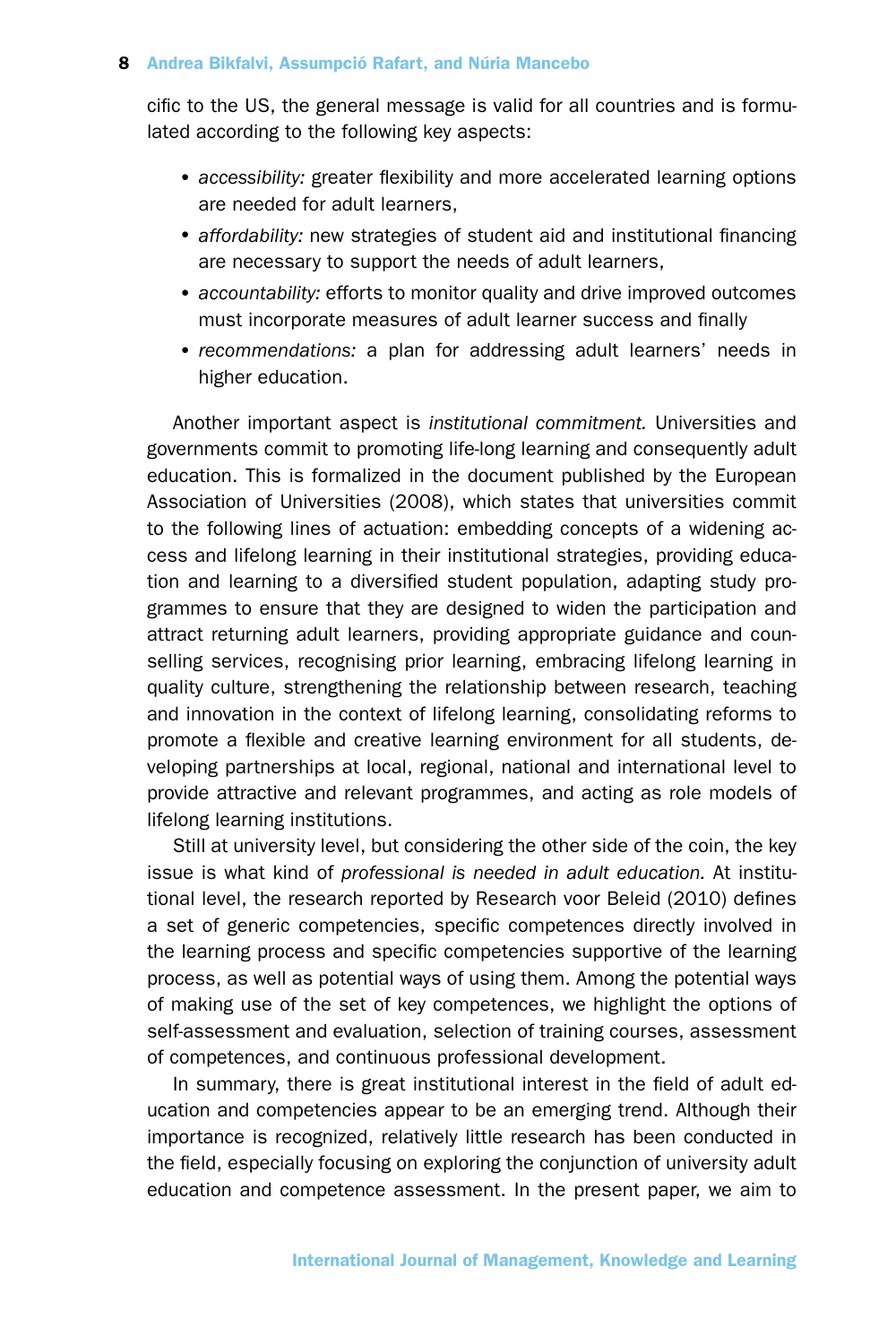cific to the US, the general message is valid for all countries and is formulated according to the following key aspects:

- •*accessibility:* greater flexibility and more accelerated learning options are needed for adult learners,
- •*affordability:* new strategies of student aid and institutional financing are necessary to support the needs of adult learners,
- •*accountability:* efforts to monitor quality and drive improved outcomes must incorporate measures of adult learner success and finally
- •*recommendations:* a plan for addressing adult learners' needs in higher education.

Another important aspect is *institutional commitment.* Universities and governments commit to promoting life-long learning and consequently adult education. This is formalized in the document published by the European Association of Universities (2008), which states that universities commit to the following lines of actuation: embedding concepts of a widening access and lifelong learning in their institutional strategies, providing education and learning to a diversified student population, adapting study programmes to ensure that they are designed to widen the participation and attract returning adult learners, providing appropriate guidance and counselling services, recognising prior learning, embracing lifelong learning in quality culture, strengthening the relationship between research, teaching and innovation in the context of lifelong learning, consolidating reforms to promote a flexible and creative learning environment for all students, developing partnerships at local, regional, national and international level to provide attractive and relevant programmes, and acting as role models of lifelong learning institutions.

Still at university level, but considering the other side of the coin, the key issue is what kind of *professional is needed in adult education.* At institutional level, the research reported by Research voor Beleid (2010) defines a set of generic competencies, specific competences directly involved in the learning process and specific competencies supportive of the learning process, as well as potential ways of using them. Among the potential ways of making use of the set of key competences, we highlight the options of self-assessment and evaluation, selection of training courses, assessment of competences, and continuous professional development.

In summary, there is great institutional interest in the field of adult education and competencies appear to be an emerging trend. Although their importance is recognized, relatively little research has been conducted in the field, especially focusing on exploring the conjunction of university adult education and competence assessment. In the present paper, we aim to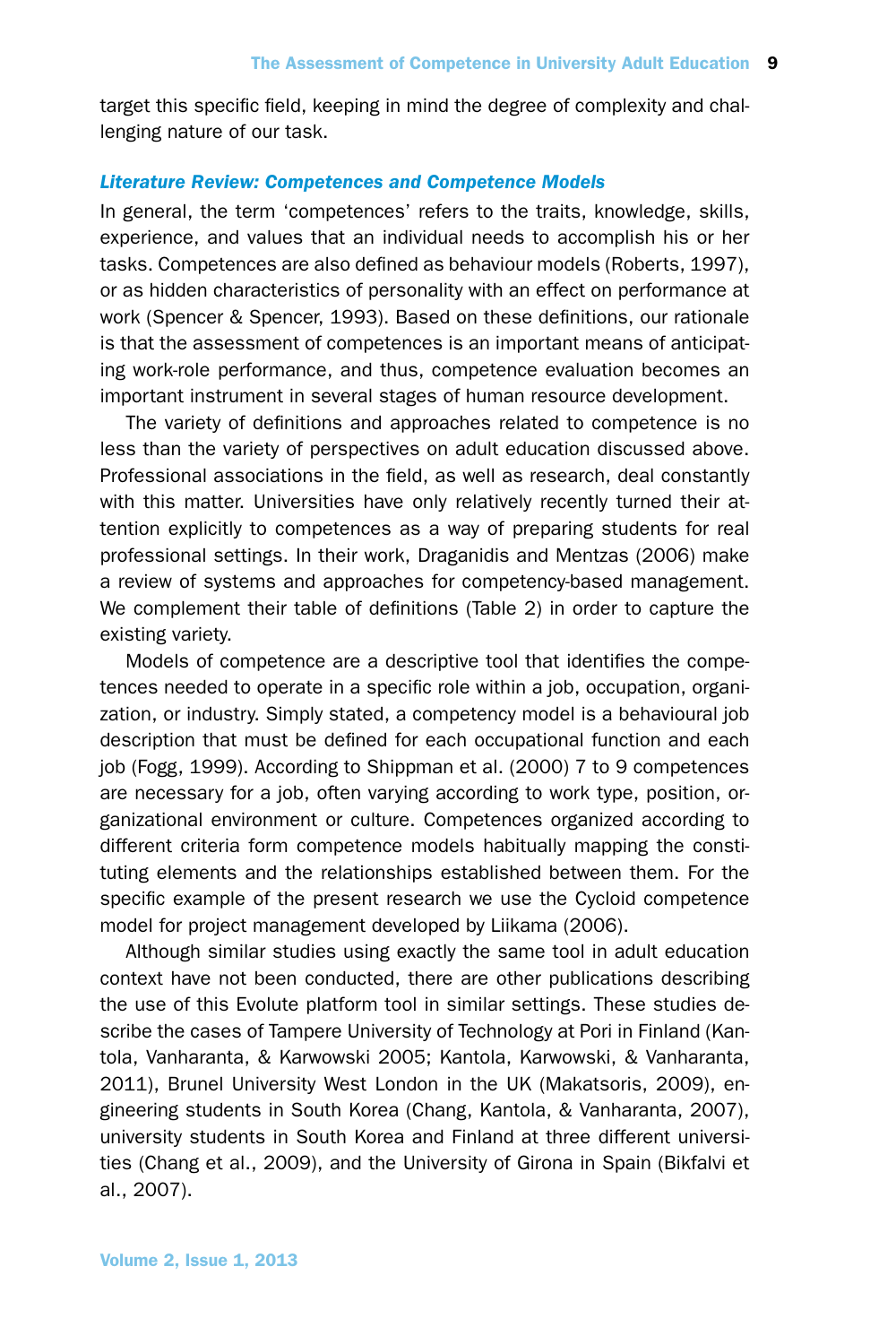target this specific field, keeping in mind the degree of complexity and challenging nature of our task.

## *Literature Review: Competences and Competence Models*

In general, the term 'competences' refers to the traits, knowledge, skills, experience, and values that an individual needs to accomplish his or her tasks. Competences are also defined as behaviour models (Roberts, 1997), or as hidden characteristics of personality with an effect on performance at work (Spencer & Spencer, 1993). Based on these definitions, our rationale is that the assessment of competences is an important means of anticipating work-role performance, and thus, competence evaluation becomes an important instrument in several stages of human resource development.

The variety of definitions and approaches related to competence is no less than the variety of perspectives on adult education discussed above. Professional associations in the field, as well as research, deal constantly with this matter. Universities have only relatively recently turned their attention explicitly to competences as a way of preparing students for real professional settings. In their work, Draganidis and Mentzas (2006) make a review of systems and approaches for competency-based management. We complement their table of definitions (Table 2) in order to capture the existing variety.

Models of competence are a descriptive tool that identifies the competences needed to operate in a specific role within a job, occupation, organization, or industry. Simply stated, a competency model is a behavioural job description that must be defined for each occupational function and each job (Fogg, 1999). According to Shippman et al. (2000) 7 to 9 competences are necessary for a job, often varying according to work type, position, organizational environment or culture. Competences organized according to different criteria form competence models habitually mapping the constituting elements and the relationships established between them. For the specific example of the present research we use the Cycloid competence model for project management developed by Liikama (2006).

Although similar studies using exactly the same tool in adult education context have not been conducted, there are other publications describing the use of this Evolute platform tool in similar settings. These studies describe the cases of Tampere University of Technology at Pori in Finland (Kantola, Vanharanta, & Karwowski 2005; Kantola, Karwowski, & Vanharanta, 2011), Brunel University West London in the UK (Makatsoris, 2009), engineering students in South Korea (Chang, Kantola, & Vanharanta, 2007), university students in South Korea and Finland at three different universities (Chang et al., 2009), and the University of Girona in Spain (Bikfalvi et al., 2007).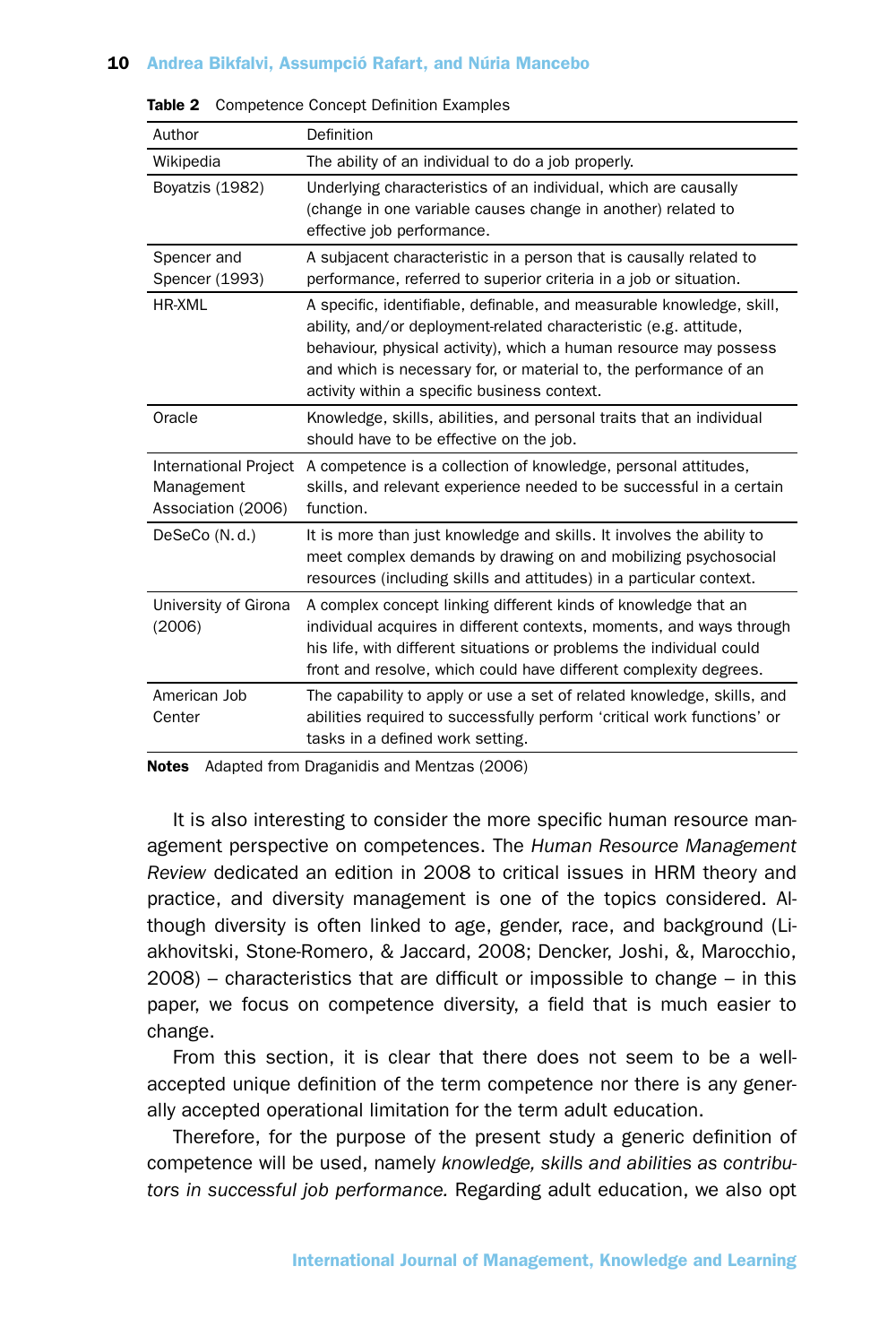| Author                                                           | Definition                                                                                                                                                                                                                                                                                                                           |
|------------------------------------------------------------------|--------------------------------------------------------------------------------------------------------------------------------------------------------------------------------------------------------------------------------------------------------------------------------------------------------------------------------------|
| Wikipedia                                                        | The ability of an individual to do a job properly.                                                                                                                                                                                                                                                                                   |
| Boyatzis (1982)                                                  | Underlying characteristics of an individual, which are causally<br>(change in one variable causes change in another) related to<br>effective job performance.                                                                                                                                                                        |
| Spencer and<br>Spencer (1993)                                    | A subjacent characteristic in a person that is causally related to<br>performance, referred to superior criteria in a job or situation.                                                                                                                                                                                              |
| HR-XML                                                           | A specific, identifiable, definable, and measurable knowledge, skill,<br>ability, and/or deployment-related characteristic (e.g. attitude,<br>behaviour, physical activity), which a human resource may possess<br>and which is necessary for, or material to, the performance of an<br>activity within a specific business context. |
| Oracle                                                           | Knowledge, skills, abilities, and personal traits that an individual<br>should have to be effective on the job.                                                                                                                                                                                                                      |
| <b>International Project</b><br>Management<br>Association (2006) | A competence is a collection of knowledge, personal attitudes,<br>skills, and relevant experience needed to be successful in a certain<br>function.                                                                                                                                                                                  |
| DeSeCo (N.d.)                                                    | It is more than just knowledge and skills. It involves the ability to<br>meet complex demands by drawing on and mobilizing psychosocial<br>resources (including skills and attitudes) in a particular context.                                                                                                                       |
| University of Girona<br>(2006)                                   | A complex concept linking different kinds of knowledge that an<br>individual acquires in different contexts, moments, and ways through<br>his life, with different situations or problems the individual could<br>front and resolve, which could have different complexity degrees.                                                  |
| American Job<br>Center                                           | The capability to apply or use a set of related knowledge, skills, and<br>abilities required to successfully perform 'critical work functions' or<br>tasks in a defined work setting.                                                                                                                                                |

Table 2 Competence Concept Definition Examples

Notes Adapted from Draganidis and Mentzas (2006)

It is also interesting to consider the more specific human resource management perspective on competences. The *Human Resource Management Review* dedicated an edition in 2008 to critical issues in HRM theory and practice, and diversity management is one of the topics considered. Although diversity is often linked to age, gender, race, and background (Liakhovitski, Stone-Romero, & Jaccard, 2008; Dencker, Joshi, &, Marocchio, 2008) – characteristics that are difficult or impossible to change – in this paper, we focus on competence diversity, a field that is much easier to change.

From this section, it is clear that there does not seem to be a wellaccepted unique definition of the term competence nor there is any generally accepted operational limitation for the term adult education.

Therefore, for the purpose of the present study a generic definition of competence will be used, namely *knowledge, skills and abilities as contributors in successful job performance.* Regarding adult education, we also opt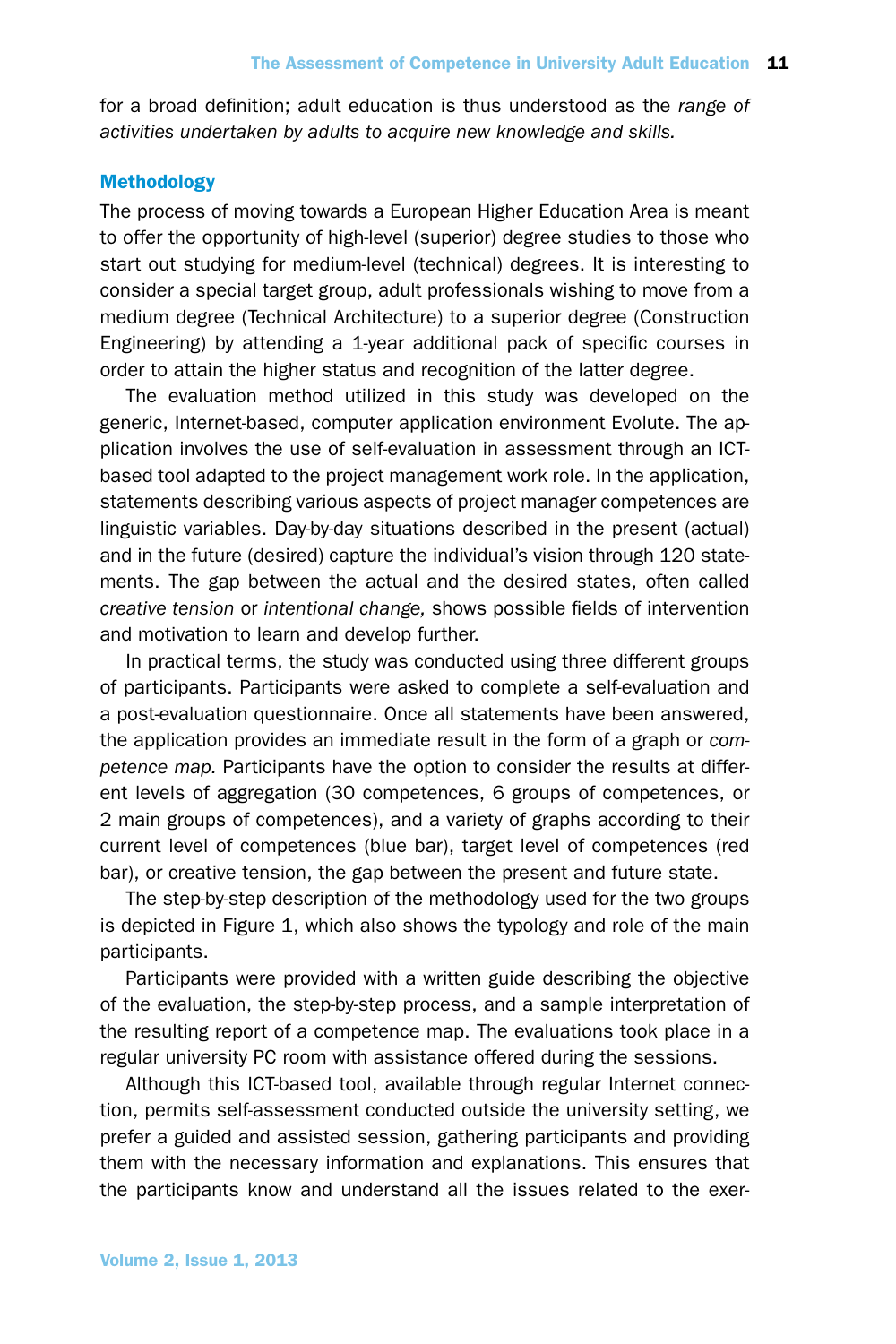for a broad definition; adult education is thus understood as the *range of activities undertaken by adults to acquire new knowledge and skills.*

## Methodology

The process of moving towards a European Higher Education Area is meant to offer the opportunity of high-level (superior) degree studies to those who start out studying for medium-level (technical) degrees. It is interesting to consider a special target group, adult professionals wishing to move from a medium degree (Technical Architecture) to a superior degree (Construction Engineering) by attending a 1-year additional pack of specific courses in order to attain the higher status and recognition of the latter degree.

The evaluation method utilized in this study was developed on the generic, Internet-based, computer application environment Evolute. The application involves the use of self-evaluation in assessment through an ICTbased tool adapted to the project management work role. In the application, statements describing various aspects of project manager competences are linguistic variables. Day-by-day situations described in the present (actual) and in the future (desired) capture the individual's vision through 120 statements. The gap between the actual and the desired states, often called *creative tension* or *intentional change,* shows possible fields of intervention and motivation to learn and develop further.

In practical terms, the study was conducted using three different groups of participants. Participants were asked to complete a self-evaluation and a post-evaluation questionnaire. Once all statements have been answered, the application provides an immediate result in the form of a graph or *competence map.* Participants have the option to consider the results at different levels of aggregation (30 competences, 6 groups of competences, or 2 main groups of competences), and a variety of graphs according to their current level of competences (blue bar), target level of competences (red bar), or creative tension, the gap between the present and future state.

The step-by-step description of the methodology used for the two groups is depicted in Figure 1, which also shows the typology and role of the main participants.

Participants were provided with a written guide describing the objective of the evaluation, the step-by-step process, and a sample interpretation of the resulting report of a competence map. The evaluations took place in a regular university PC room with assistance offered during the sessions.

Although this ICT-based tool, available through regular Internet connection, permits self-assessment conducted outside the university setting, we prefer a guided and assisted session, gathering participants and providing them with the necessary information and explanations. This ensures that the participants know and understand all the issues related to the exer-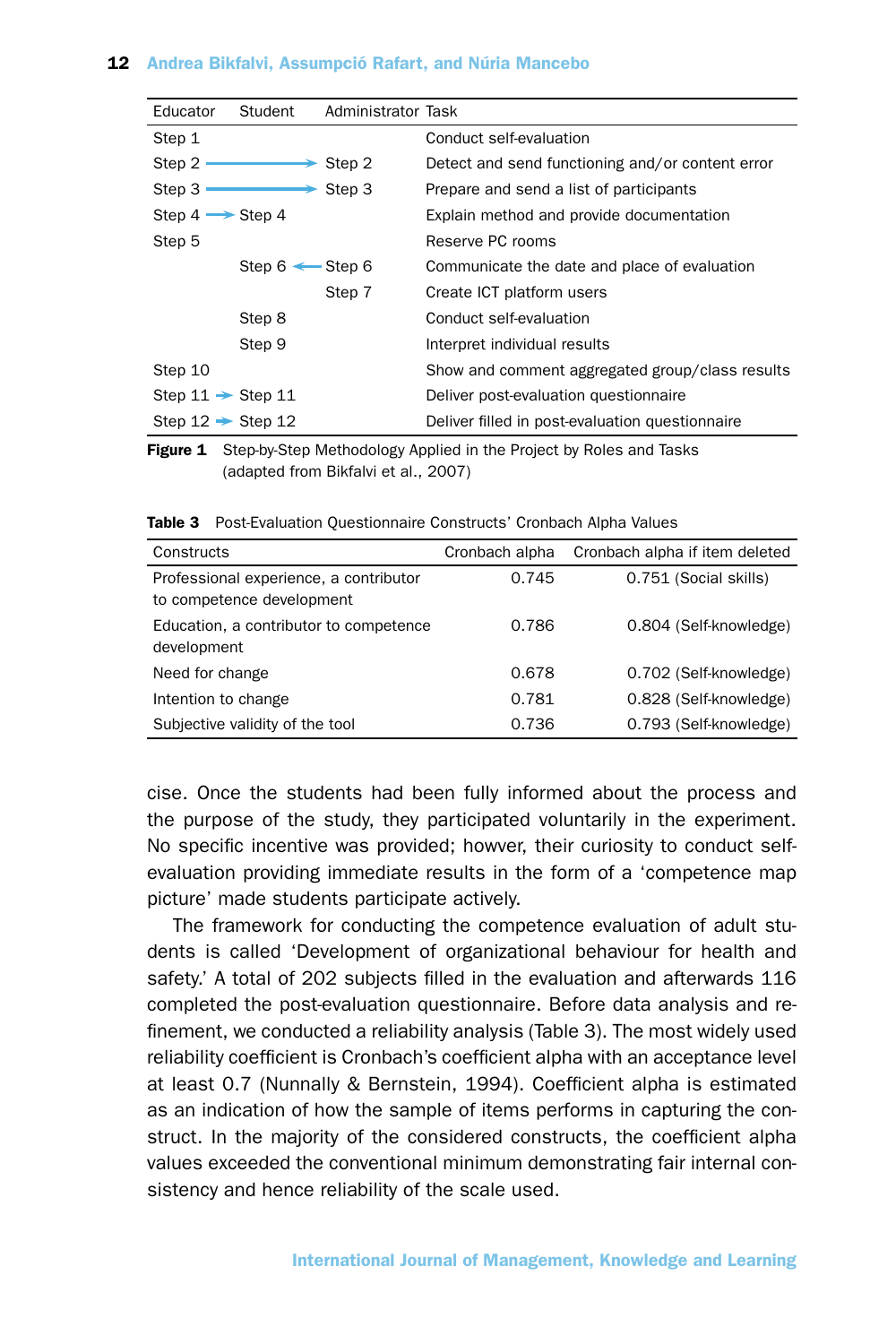| Educator                      | Student                    | Administrator Task   |                                                  |
|-------------------------------|----------------------------|----------------------|--------------------------------------------------|
| Step 1                        |                            |                      | Conduct self-evaluation                          |
| Step $2 \cdot$                |                            | $\rightarrow$ Step 2 | Detect and send functioning and/or content error |
| Step 3                        |                            | $\rightarrow$ Step 3 | Prepare and send a list of participants          |
| Step $4 \rightarrow$ Step 4   |                            |                      | Explain method and provide documentation         |
| Step 5                        |                            |                      | Reserve PC rooms                                 |
|                               | Step $6 \leftarrow$ Step 6 |                      | Communicate the date and place of evaluation     |
|                               |                            | Step 7               | Create ICT platform users                        |
|                               | Step 8                     |                      | Conduct self-evaluation                          |
|                               | Step 9                     |                      | Interpret individual results                     |
| Step 10                       |                            |                      | Show and comment aggregated group/class results  |
| Step $11 \rightarrow$ Step 11 |                            |                      | Deliver post-evaluation questionnaire            |
| Step $12 \rightarrow$ Step 12 |                            |                      | Deliver filled in post-evaluation questionnaire  |

Figure 1 Step-by-Step Methodology Applied in the Project by Roles and Tasks (adapted from Bikfalvi et al., 2007)

Table 3 Post-Evaluation Questionnaire Constructs' Cronbach Alpha Values

| Constructs                                                          | Cronbach alpha | Cronbach alpha if item deleted |
|---------------------------------------------------------------------|----------------|--------------------------------|
| Professional experience, a contributor<br>to competence development | 0.745          | 0.751 (Social skills)          |
| Education, a contributor to competence<br>development               | 0.786          | 0.804 (Self-knowledge)         |
| Need for change                                                     | 0.678          | 0.702 (Self-knowledge)         |
| Intention to change                                                 | 0.781          | 0.828 (Self-knowledge)         |
| Subjective validity of the tool                                     | 0.736          | 0.793 (Self-knowledge)         |

cise. Once the students had been fully informed about the process and the purpose of the study, they participated voluntarily in the experiment. No specific incentive was provided; howver, their curiosity to conduct selfevaluation providing immediate results in the form of a 'competence map picture' made students participate actively.

The framework for conducting the competence evaluation of adult students is called 'Development of organizational behaviour for health and safety.' A total of 202 subjects filled in the evaluation and afterwards 116 completed the post-evaluation questionnaire. Before data analysis and refinement, we conducted a reliability analysis (Table 3). The most widely used reliability coefficient is Cronbach's coefficient alpha with an acceptance level at least 0.7 (Nunnally & Bernstein, 1994). Coefficient alpha is estimated as an indication of how the sample of items performs in capturing the construct. In the majority of the considered constructs, the coefficient alpha values exceeded the conventional minimum demonstrating fair internal consistency and hence reliability of the scale used.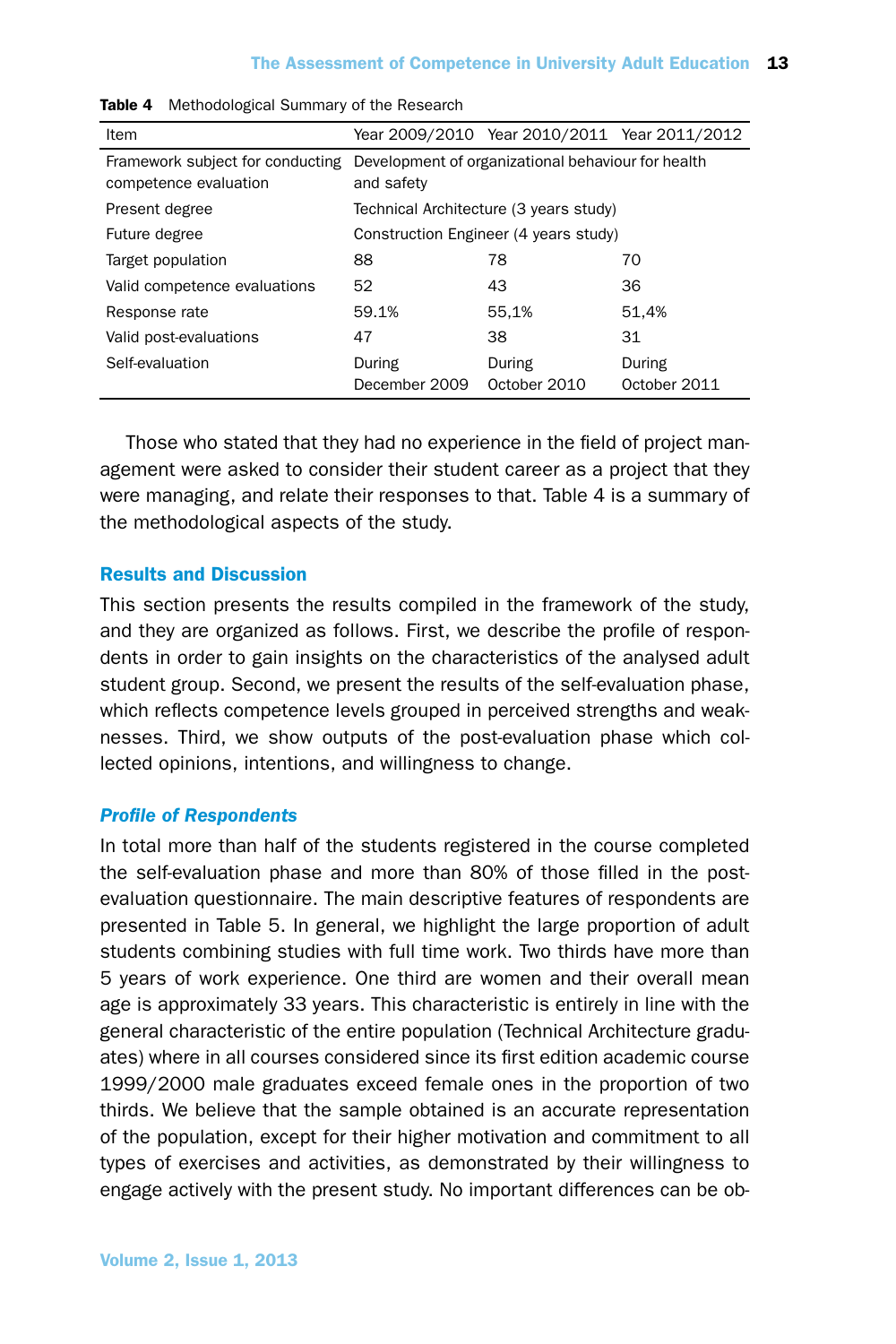| Item                                                      |                                                                  | Year 2009/2010 Year 2010/2011 Year 2011/2012 |                        |  |  |  |
|-----------------------------------------------------------|------------------------------------------------------------------|----------------------------------------------|------------------------|--|--|--|
| Framework subject for conducting<br>competence evaluation | Development of organizational behaviour for health<br>and safety |                                              |                        |  |  |  |
| Present degree                                            |                                                                  | Technical Architecture (3 years study)       |                        |  |  |  |
| Future degree                                             | Construction Engineer (4 years study)                            |                                              |                        |  |  |  |
| Target population                                         | 88                                                               | 78                                           | 70                     |  |  |  |
| Valid competence evaluations                              | 52                                                               | 43                                           | 36                     |  |  |  |
| Response rate                                             | 59.1%                                                            | 55.1%                                        | 51.4%                  |  |  |  |
| Valid post-evaluations                                    | 47                                                               | 38                                           | 31                     |  |  |  |
| Self-evaluation                                           | During<br>December 2009                                          | During<br>October 2010                       | During<br>October 2011 |  |  |  |

|  | Table 4 Methodological Summary of the Research |  |  |  |
|--|------------------------------------------------|--|--|--|
|--|------------------------------------------------|--|--|--|

Those who stated that they had no experience in the field of project management were asked to consider their student career as a project that they were managing, and relate their responses to that. Table 4 is a summary of the methodological aspects of the study.

# Results and Discussion

This section presents the results compiled in the framework of the study, and they are organized as follows. First, we describe the profile of respondents in order to gain insights on the characteristics of the analysed adult student group. Second, we present the results of the self-evaluation phase, which reflects competence levels grouped in perceived strengths and weaknesses. Third, we show outputs of the post-evaluation phase which collected opinions, intentions, and willingness to change.

### *Profile of Respondents*

In total more than half of the students registered in the course completed the self-evaluation phase and more than 80% of those filled in the postevaluation questionnaire. The main descriptive features of respondents are presented in Table 5. In general, we highlight the large proportion of adult students combining studies with full time work. Two thirds have more than 5 years of work experience. One third are women and their overall mean age is approximately 33 years. This characteristic is entirely in line with the general characteristic of the entire population (Technical Architecture graduates) where in all courses considered since its first edition academic course 1999/2000 male graduates exceed female ones in the proportion of two thirds. We believe that the sample obtained is an accurate representation of the population, except for their higher motivation and commitment to all types of exercises and activities, as demonstrated by their willingness to engage actively with the present study. No important differences can be ob-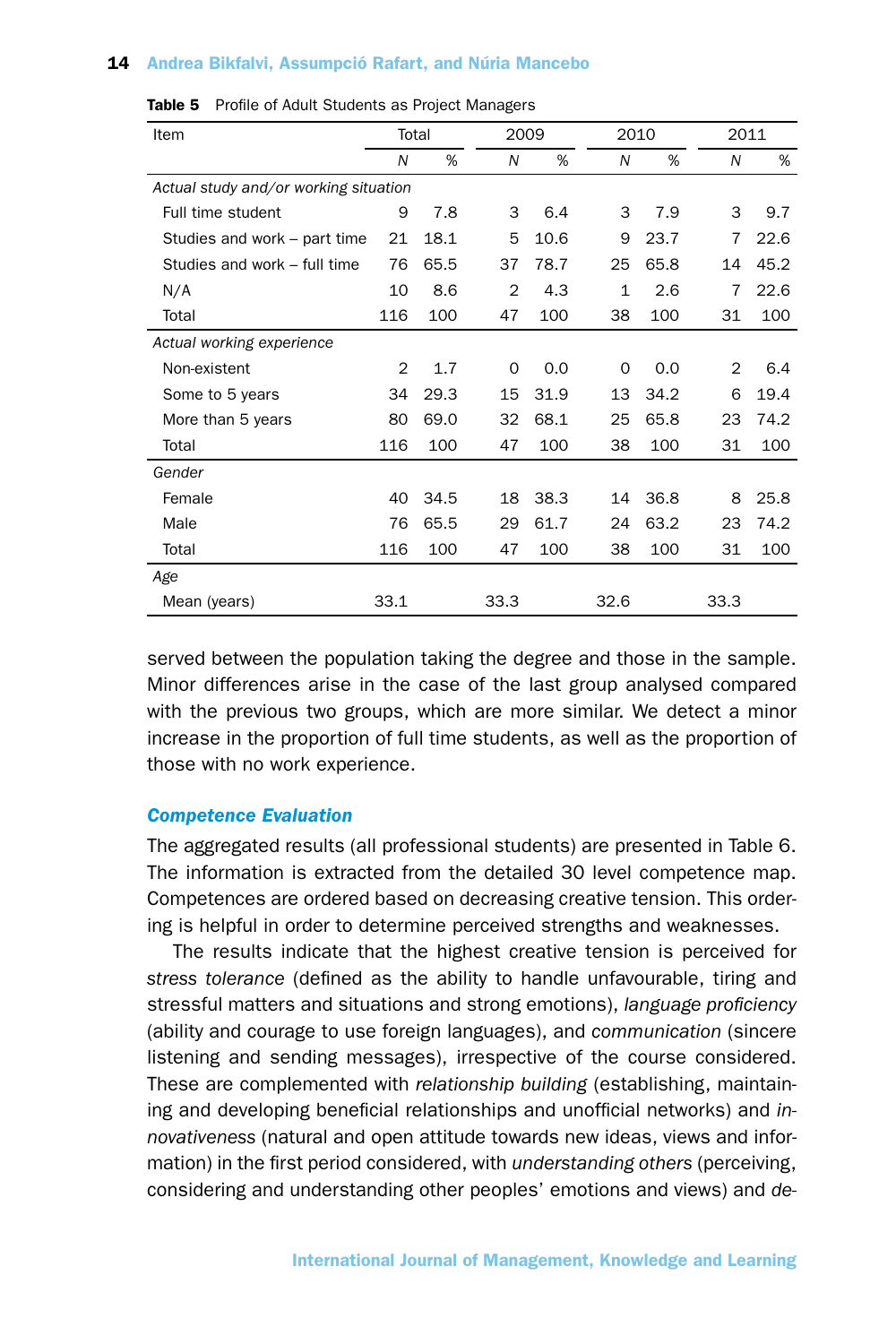| Item                                  | Total          |      |                | 2009 |              | 2010 |                | 2011 |  |
|---------------------------------------|----------------|------|----------------|------|--------------|------|----------------|------|--|
|                                       | N              | %    | N              | %    | N            | %    | N              | %    |  |
| Actual study and/or working situation |                |      |                |      |              |      |                |      |  |
| Full time student                     | 9              | 7.8  | 3              | 6.4  | 3            | 7.9  | 3              | 9.7  |  |
| Studies and work - part time          | 21             | 18.1 | 5              | 10.6 | 9            | 23.7 | 7              | 22.6 |  |
| Studies and work - full time          | 76             | 65.5 | 37             | 78.7 | 25           | 65.8 | 14             | 45.2 |  |
| N/A                                   | 10             | 8.6  | $\overline{2}$ | 4.3  | $\mathbf{1}$ | 2.6  | 7              | 22.6 |  |
| Total                                 | 116            | 100  | 47             | 100  | 38           | 100  | 31             | 100  |  |
| Actual working experience             |                |      |                |      |              |      |                |      |  |
| Non-existent                          | $\overline{2}$ | 1.7  | $\mathbf 0$    | 0.0  | $\Omega$     | 0.0  | $\overline{2}$ | 6.4  |  |
| Some to 5 years                       | 34             | 29.3 | 15             | 31.9 | 13           | 34.2 | 6              | 19.4 |  |
| More than 5 years                     | 80             | 69.0 | 32             | 68.1 | 25           | 65.8 | 23             | 74.2 |  |
| Total                                 | 116            | 100  | 47             | 100  | 38           | 100  | 31             | 100  |  |
| Gender                                |                |      |                |      |              |      |                |      |  |
| Female                                | 40             | 34.5 | 18             | 38.3 | 14           | 36.8 | 8              | 25.8 |  |
| Male                                  | 76             | 65.5 | 29             | 61.7 | 24           | 63.2 | 23             | 74.2 |  |
| Total                                 | 116            | 100  | 47             | 100  | 38           | 100  | 31             | 100  |  |
| Age                                   |                |      |                |      |              |      |                |      |  |
| Mean (years)                          | 33.1           |      | 33.3           |      | 32.6         |      | 33.3           |      |  |

Table 5 Profile of Adult Students as Project Managers

served between the population taking the degree and those in the sample. Minor differences arise in the case of the last group analysed compared with the previous two groups, which are more similar. We detect a minor increase in the proportion of full time students, as well as the proportion of those with no work experience.

# *Competence Evaluation*

The aggregated results (all professional students) are presented in Table 6. The information is extracted from the detailed 30 level competence map. Competences are ordered based on decreasing creative tension. This ordering is helpful in order to determine perceived strengths and weaknesses.

The results indicate that the highest creative tension is perceived for *stress tolerance* (defined as the ability to handle unfavourable, tiring and stressful matters and situations and strong emotions), *language proficiency* (ability and courage to use foreign languages), and *communication* (sincere listening and sending messages), irrespective of the course considered. These are complemented with *relationship building* (establishing, maintaining and developing beneficial relationships and unofficial networks) and *innovativeness* (natural and open attitude towards new ideas, views and information) in the first period considered, with *understanding others* (perceiving, considering and understanding other peoples' emotions and views) and *de-*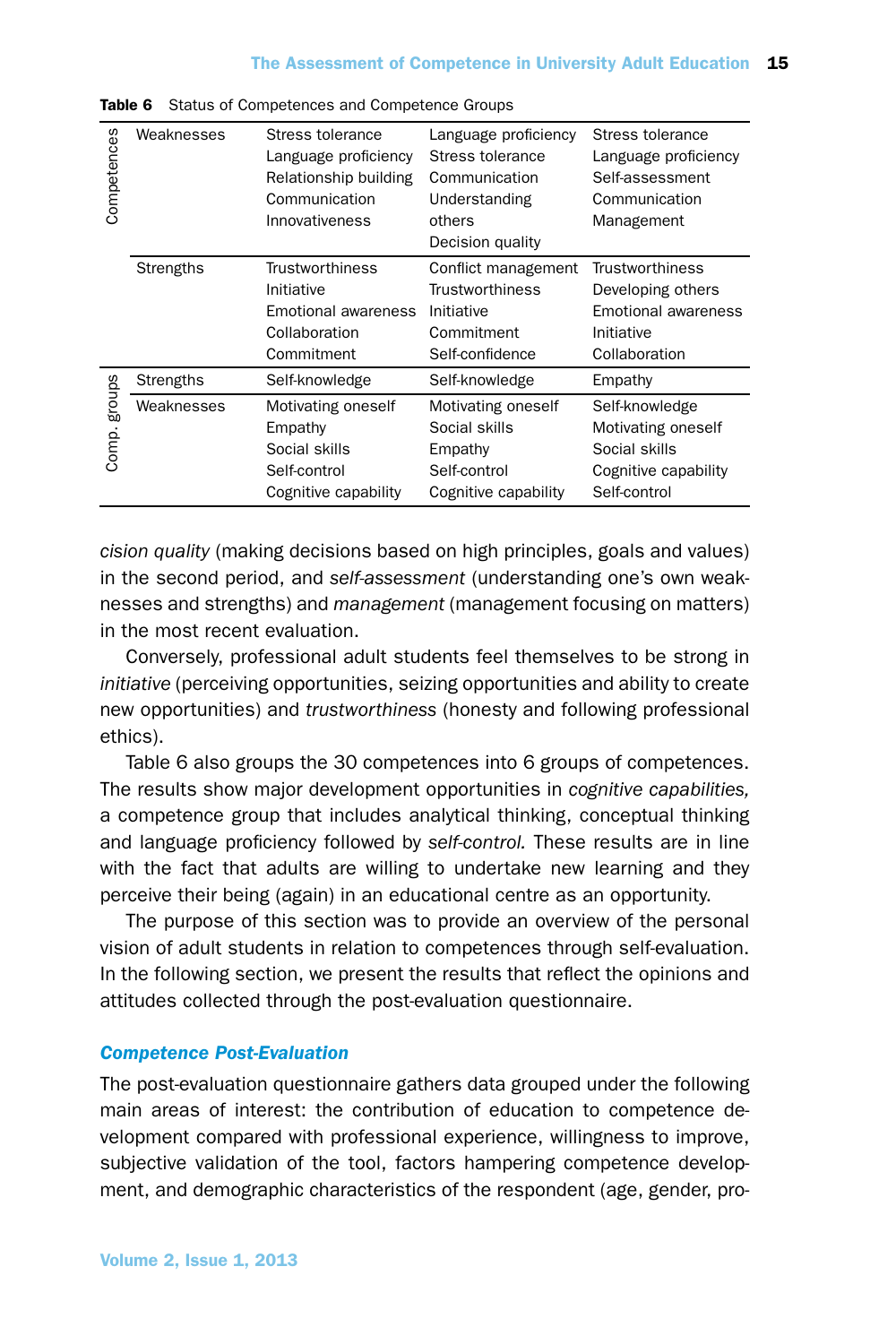| Competences     | Weaknesses | Stress tolerance<br>Language proficiency<br>Relationship building<br>Communication<br>Innovativeness | Language proficiency<br>Stress tolerance<br>Communication<br>Understanding<br>others<br>Decision quality | Stress tolerance<br>Language proficiency<br>Self-assessment<br>Communication<br>Management        |
|-----------------|------------|------------------------------------------------------------------------------------------------------|----------------------------------------------------------------------------------------------------------|---------------------------------------------------------------------------------------------------|
|                 | Strengths  | <b>Trustworthiness</b><br>Initiative<br>Emotional awareness<br>Collaboration<br>Commitment           | Conflict management<br><b>Trustworthiness</b><br>Initiative<br>Commitment<br>Self-confidence             | <b>Trustworthiness</b><br>Developing others<br>Emotional awareness<br>Initiative<br>Collaboration |
|                 | Strengths  | Self-knowledge                                                                                       | Self-knowledge                                                                                           | Empathy                                                                                           |
| groups<br>Comp. | Weaknesses | Motivating oneself<br>Empathy<br>Social skills<br>Self-control<br>Cognitive capability               | Motivating oneself<br>Social skills<br>Empathy<br>Self-control<br>Cognitive capability                   | Self-knowledge<br>Motivating oneself<br>Social skills<br>Cognitive capability<br>Self-control     |

Table 6 Status of Competences and Competence Groups

*cision quality* (making decisions based on high principles, goals and values) in the second period, and *self-assessment* (understanding one's own weaknesses and strengths) and *management* (management focusing on matters) in the most recent evaluation.

Conversely, professional adult students feel themselves to be strong in *initiative* (perceiving opportunities, seizing opportunities and ability to create new opportunities) and *trustworthiness* (honesty and following professional ethics).

Table 6 also groups the 30 competences into 6 groups of competences. The results show major development opportunities in *cognitive capabilities,* a competence group that includes analytical thinking, conceptual thinking and language proficiency followed by *self-control.* These results are in line with the fact that adults are willing to undertake new learning and they perceive their being (again) in an educational centre as an opportunity.

The purpose of this section was to provide an overview of the personal vision of adult students in relation to competences through self-evaluation. In the following section, we present the results that reflect the opinions and attitudes collected through the post-evaluation questionnaire.

## *Competence Post-Evaluation*

The post-evaluation questionnaire gathers data grouped under the following main areas of interest: the contribution of education to competence development compared with professional experience, willingness to improve, subjective validation of the tool, factors hampering competence development, and demographic characteristics of the respondent (age, gender, pro-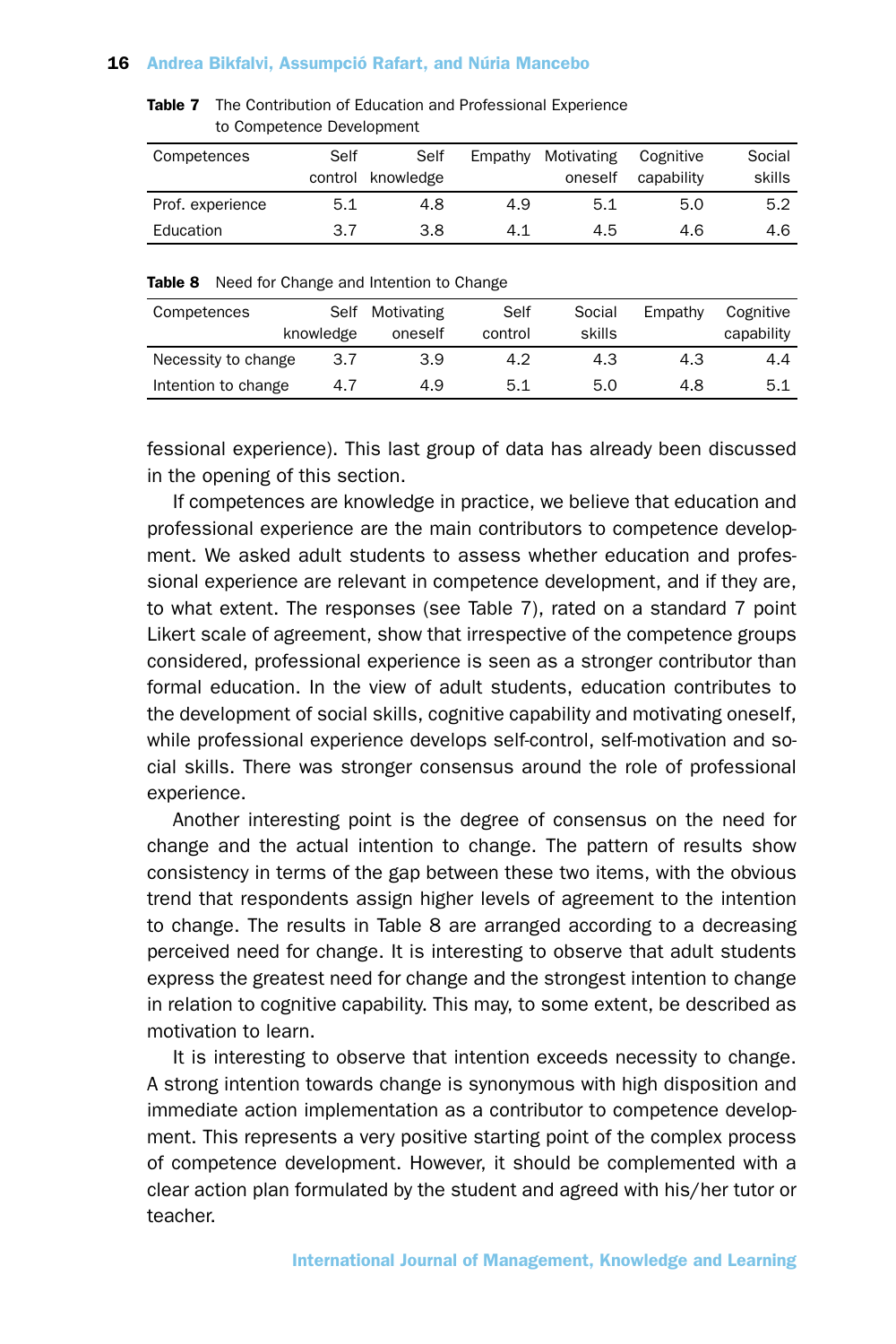Table 7 The Contribution of Education and Professional Experience to Competence Development

| Competences      | Self | Self              | Empathy | Motivating | Cognitive  | Social |
|------------------|------|-------------------|---------|------------|------------|--------|
|                  |      | control knowledge |         | oneself    | capability | skills |
| Prof. experience | 5.1  | 4.8               | 4.9     | 5.1        | 5.0        | 5.2    |
| Education        | 3.7  | 3.8               | 4.1     | 4.5        | 4.6        | 4.6    |

Table 8 Need for Change and Intention to Change

| Competences         | Self<br>knowledge | Motivating<br>oneself | Self<br>control | Social<br>skills | Empathy | Cognitive<br>capability |
|---------------------|-------------------|-----------------------|-----------------|------------------|---------|-------------------------|
| Necessity to change | 3.7               | 3.9                   | 4.2             | 4.3              | 4.3     | 4.4                     |
| Intention to change | 4.7               | 4.9                   | 5.1             | 5.0              | 4.8     | 5.1                     |

fessional experience). This last group of data has already been discussed in the opening of this section.

If competences are knowledge in practice, we believe that education and professional experience are the main contributors to competence development. We asked adult students to assess whether education and professional experience are relevant in competence development, and if they are, to what extent. The responses (see Table 7), rated on a standard 7 point Likert scale of agreement, show that irrespective of the competence groups considered, professional experience is seen as a stronger contributor than formal education. In the view of adult students, education contributes to the development of social skills, cognitive capability and motivating oneself, while professional experience develops self-control, self-motivation and social skills. There was stronger consensus around the role of professional experience.

Another interesting point is the degree of consensus on the need for change and the actual intention to change. The pattern of results show consistency in terms of the gap between these two items, with the obvious trend that respondents assign higher levels of agreement to the intention to change. The results in Table 8 are arranged according to a decreasing perceived need for change. It is interesting to observe that adult students express the greatest need for change and the strongest intention to change in relation to cognitive capability. This may, to some extent, be described as motivation to learn.

It is interesting to observe that intention exceeds necessity to change. A strong intention towards change is synonymous with high disposition and immediate action implementation as a contributor to competence development. This represents a very positive starting point of the complex process of competence development. However, it should be complemented with a clear action plan formulated by the student and agreed with his/her tutor or teacher.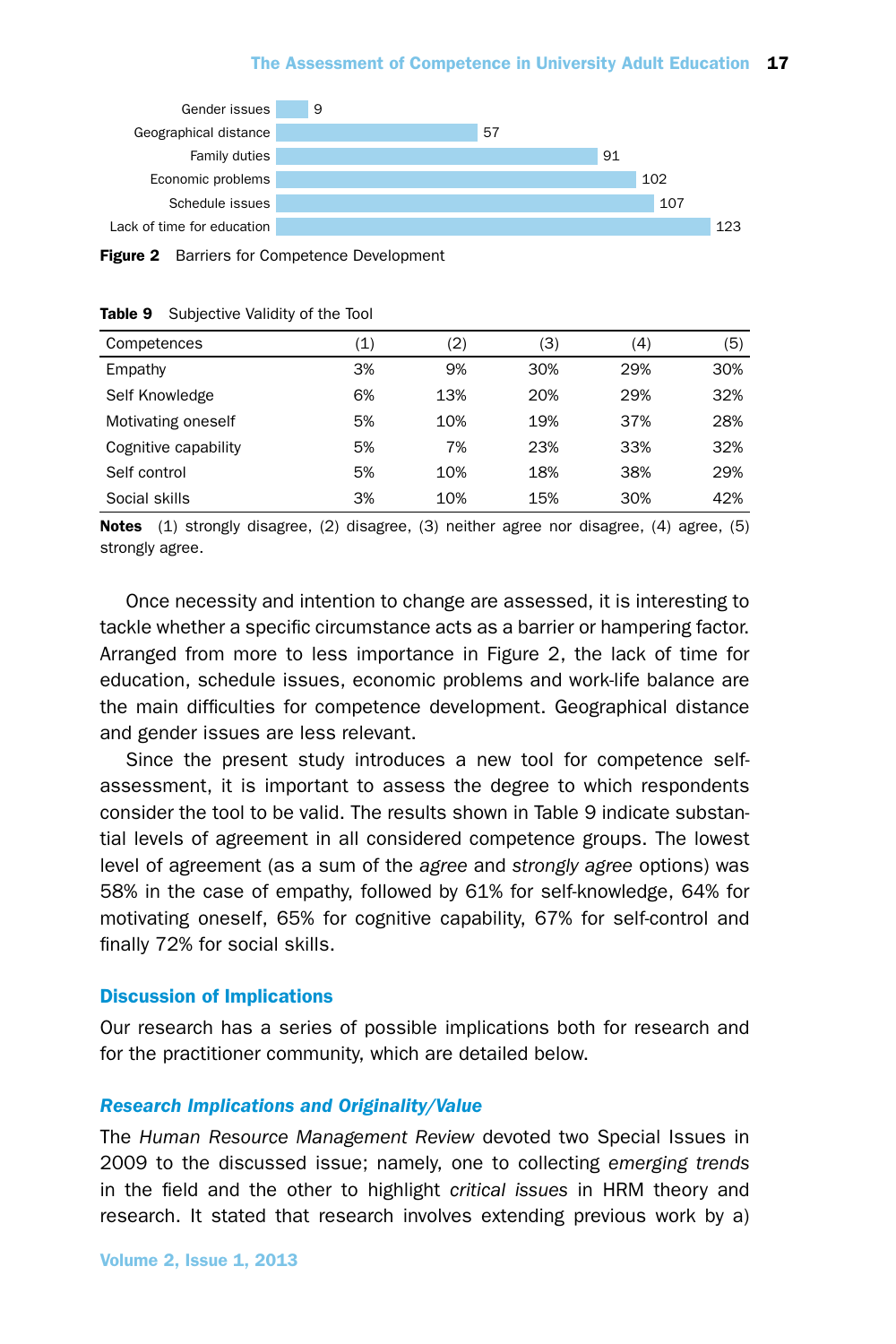

Figure 2 Barriers for Competence Development

| Competences          | (1) | (2) | (3) | (4) | (5) |
|----------------------|-----|-----|-----|-----|-----|
| Empathy              | 3%  | 9%  | 30% | 29% | 30% |
| Self Knowledge       | 6%  | 13% | 20% | 29% | 32% |
| Motivating oneself   | 5%  | 10% | 19% | 37% | 28% |
| Cognitive capability | 5%  | 7%  | 23% | 33% | 32% |
| Self control         | 5%  | 10% | 18% | 38% | 29% |
| Social skills        | 3%  | 10% | 15% | 30% | 42% |

#### Table 9 Subjective Validity of the Tool

Notes (1) strongly disagree, (2) disagree, (3) neither agree nor disagree, (4) agree, (5) strongly agree.

Once necessity and intention to change are assessed, it is interesting to tackle whether a specific circumstance acts as a barrier or hampering factor. Arranged from more to less importance in Figure 2, the lack of time for education, schedule issues, economic problems and work-life balance are the main difficulties for competence development. Geographical distance and gender issues are less relevant.

Since the present study introduces a new tool for competence selfassessment, it is important to assess the degree to which respondents consider the tool to be valid. The results shown in Table 9 indicate substantial levels of agreement in all considered competence groups. The lowest level of agreement (as a sum of the *agree* and *strongly agree* options) was 58% in the case of empathy, followed by 61% for self-knowledge, 64% for motivating oneself, 65% for cognitive capability, 67% for self-control and finally 72% for social skills.

## Discussion of Implications

Our research has a series of possible implications both for research and for the practitioner community, which are detailed below.

#### *Research Implications and Originality/Value*

The *Human Resource Management Review* devoted two Special Issues in 2009 to the discussed issue; namely, one to collecting *emerging trends* in the field and the other to highlight *critical issues* in HRM theory and research. It stated that research involves extending previous work by a)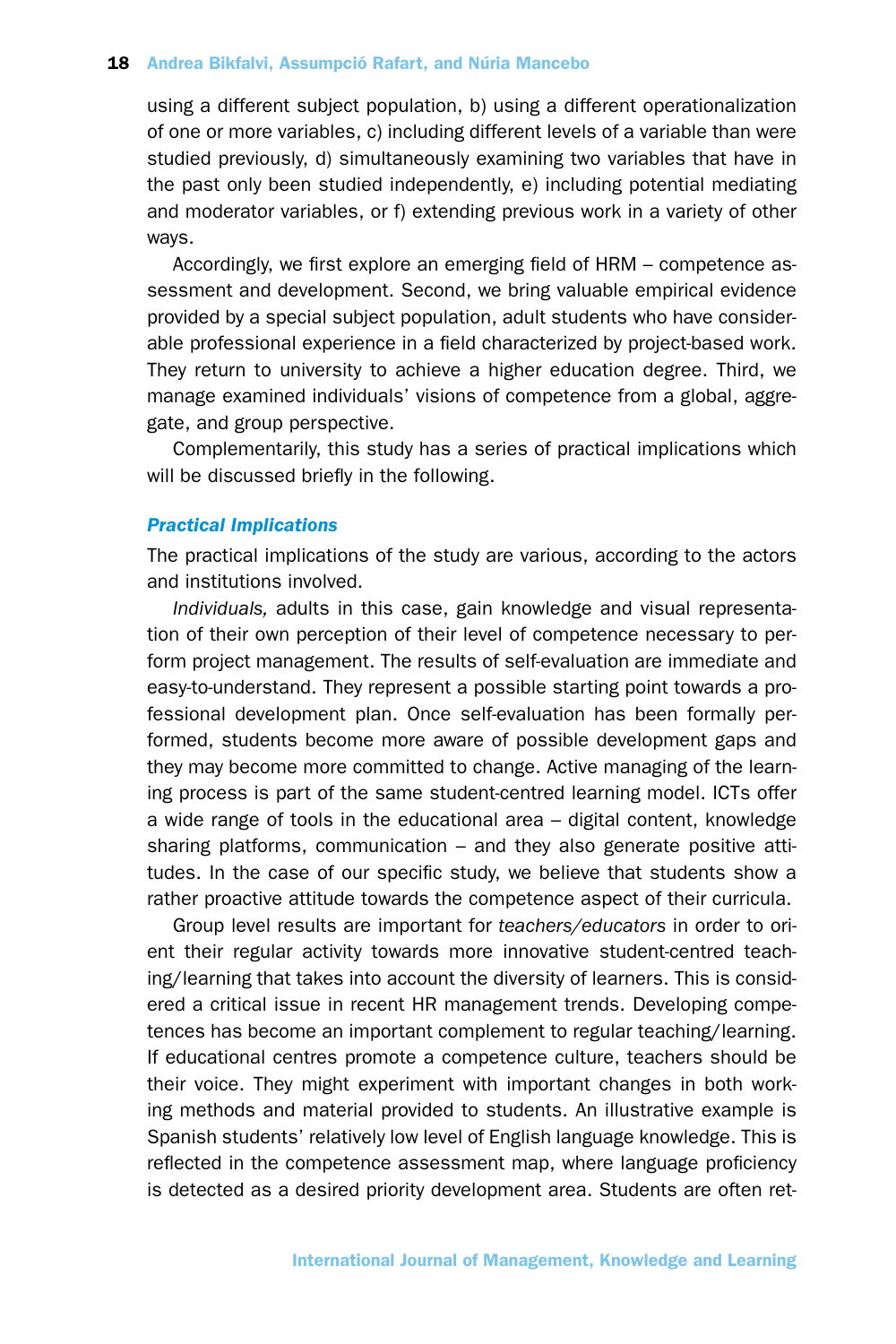using a different subject population, b) using a different operationalization of one or more variables, c) including different levels of a variable than were studied previously, d) simultaneously examining two variables that have in the past only been studied independently, e) including potential mediating and moderator variables, or f) extending previous work in a variety of other ways.

Accordingly, we first explore an emerging field of HRM – competence assessment and development. Second, we bring valuable empirical evidence provided by a special subject population, adult students who have considerable professional experience in a field characterized by project-based work. They return to university to achieve a higher education degree. Third, we manage examined individuals' visions of competence from a global, aggregate, and group perspective.

Complementarily, this study has a series of practical implications which will be discussed briefly in the following.

# *Practical Implications*

The practical implications of the study are various, according to the actors and institutions involved.

*Individuals,* adults in this case, gain knowledge and visual representation of their own perception of their level of competence necessary to perform project management. The results of self-evaluation are immediate and easy-to-understand. They represent a possible starting point towards a professional development plan. Once self-evaluation has been formally performed, students become more aware of possible development gaps and they may become more committed to change. Active managing of the learning process is part of the same student-centred learning model. ICTs offer a wide range of tools in the educational area – digital content, knowledge sharing platforms, communication – and they also generate positive attitudes. In the case of our specific study, we believe that students show a rather proactive attitude towards the competence aspect of their curricula.

Group level results are important for *teachers/educators* in order to orient their regular activity towards more innovative student-centred teaching/learning that takes into account the diversity of learners. This is considered a critical issue in recent HR management trends. Developing competences has become an important complement to regular teaching/learning. If educational centres promote a competence culture, teachers should be their voice. They might experiment with important changes in both working methods and material provided to students. An illustrative example is Spanish students' relatively low level of English language knowledge. This is reflected in the competence assessment map, where language proficiency is detected as a desired priority development area. Students are often ret-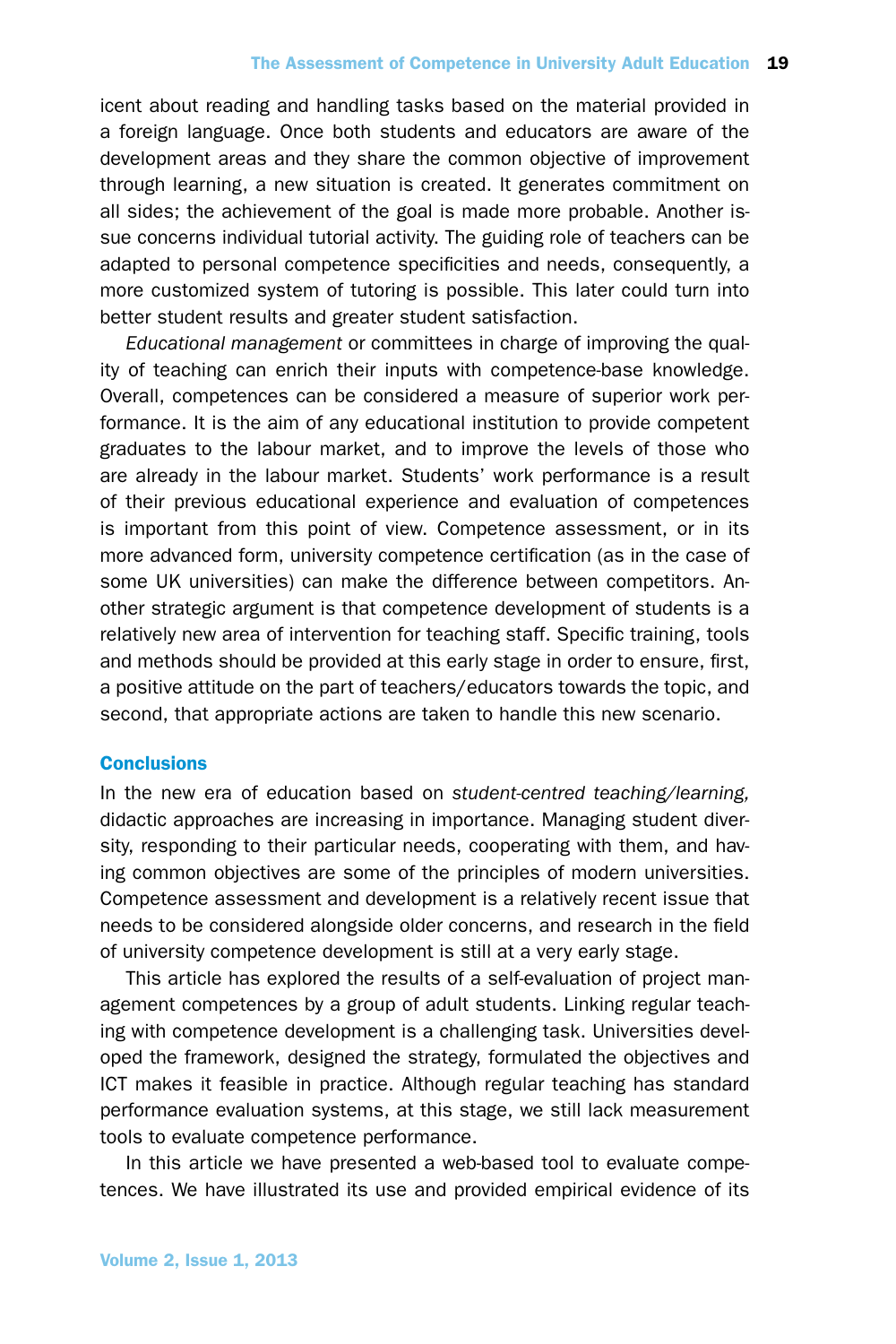icent about reading and handling tasks based on the material provided in a foreign language. Once both students and educators are aware of the development areas and they share the common objective of improvement through learning, a new situation is created. It generates commitment on all sides; the achievement of the goal is made more probable. Another issue concerns individual tutorial activity. The guiding role of teachers can be adapted to personal competence specificities and needs, consequently, a more customized system of tutoring is possible. This later could turn into better student results and greater student satisfaction.

*Educational management* or committees in charge of improving the quality of teaching can enrich their inputs with competence-base knowledge. Overall, competences can be considered a measure of superior work performance. It is the aim of any educational institution to provide competent graduates to the labour market, and to improve the levels of those who are already in the labour market. Students' work performance is a result of their previous educational experience and evaluation of competences is important from this point of view. Competence assessment, or in its more advanced form, university competence certification (as in the case of some UK universities) can make the difference between competitors. Another strategic argument is that competence development of students is a relatively new area of intervention for teaching staff. Specific training, tools and methods should be provided at this early stage in order to ensure, first, a positive attitude on the part of teachers/educators towards the topic, and second, that appropriate actions are taken to handle this new scenario.

# **Conclusions**

In the new era of education based on *student-centred teaching/learning,* didactic approaches are increasing in importance. Managing student diversity, responding to their particular needs, cooperating with them, and having common objectives are some of the principles of modern universities. Competence assessment and development is a relatively recent issue that needs to be considered alongside older concerns, and research in the field of university competence development is still at a very early stage.

This article has explored the results of a self-evaluation of project management competences by a group of adult students. Linking regular teaching with competence development is a challenging task. Universities developed the framework, designed the strategy, formulated the objectives and ICT makes it feasible in practice. Although regular teaching has standard performance evaluation systems, at this stage, we still lack measurement tools to evaluate competence performance.

In this article we have presented a web-based tool to evaluate competences. We have illustrated its use and provided empirical evidence of its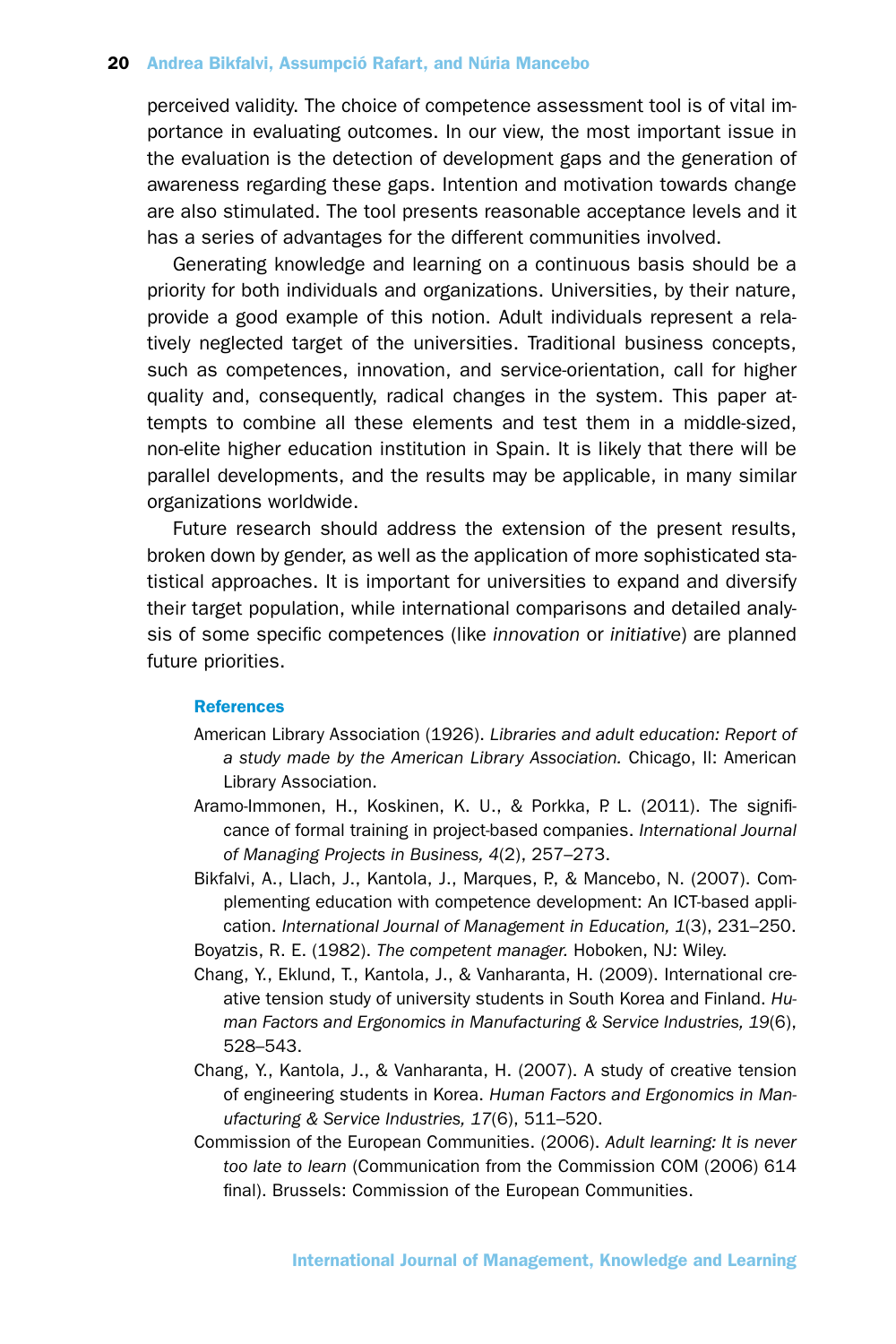perceived validity. The choice of competence assessment tool is of vital importance in evaluating outcomes. In our view, the most important issue in the evaluation is the detection of development gaps and the generation of awareness regarding these gaps. Intention and motivation towards change are also stimulated. The tool presents reasonable acceptance levels and it has a series of advantages for the different communities involved.

Generating knowledge and learning on a continuous basis should be a priority for both individuals and organizations. Universities, by their nature, provide a good example of this notion. Adult individuals represent a relatively neglected target of the universities. Traditional business concepts, such as competences, innovation, and service-orientation, call for higher quality and, consequently, radical changes in the system. This paper attempts to combine all these elements and test them in a middle-sized, non-elite higher education institution in Spain. It is likely that there will be parallel developments, and the results may be applicable, in many similar organizations worldwide.

Future research should address the extension of the present results, broken down by gender, as well as the application of more sophisticated statistical approaches. It is important for universities to expand and diversify their target population, while international comparisons and detailed analysis of some specific competences (like *innovation* or *initiative*) are planned future priorities.

#### **References**

- American Library Association (1926). *Libraries and adult education: Report of a study made by the American Library Association.* Chicago, Il: American Library Association.
- Aramo-Immonen, H., Koskinen, K. U., & Porkka, P. L. (2011). The significance of formal training in project-based companies. *International Journal of Managing Projects in Business, 4*(2), 257–273.
- Bikfalvi, A., Llach, J., Kantola, J., Marques, P., & Mancebo, N. (2007). Complementing education with competence development: An ICT-based application. *International Journal of Management in Education, 1*(3), 231–250.
- Boyatzis, R. E. (1982). *The competent manager.* Hoboken, NJ: Wiley.
- Chang, Y., Eklund, T., Kantola, J., & Vanharanta, H. (2009). International creative tension study of university students in South Korea and Finland. *Human Factors and Ergonomics in Manufacturing & Service Industries, 19*(6), 528–543.
- Chang, Y., Kantola, J., & Vanharanta, H. (2007). A study of creative tension of engineering students in Korea. *Human Factors and Ergonomics in Manufacturing & Service Industries, 17*(6), 511–520.
- Commission of the European Communities. (2006). *Adult learning: It is never too late to learn* (Communication from the Commission COM (2006) 614 final). Brussels: Commission of the European Communities.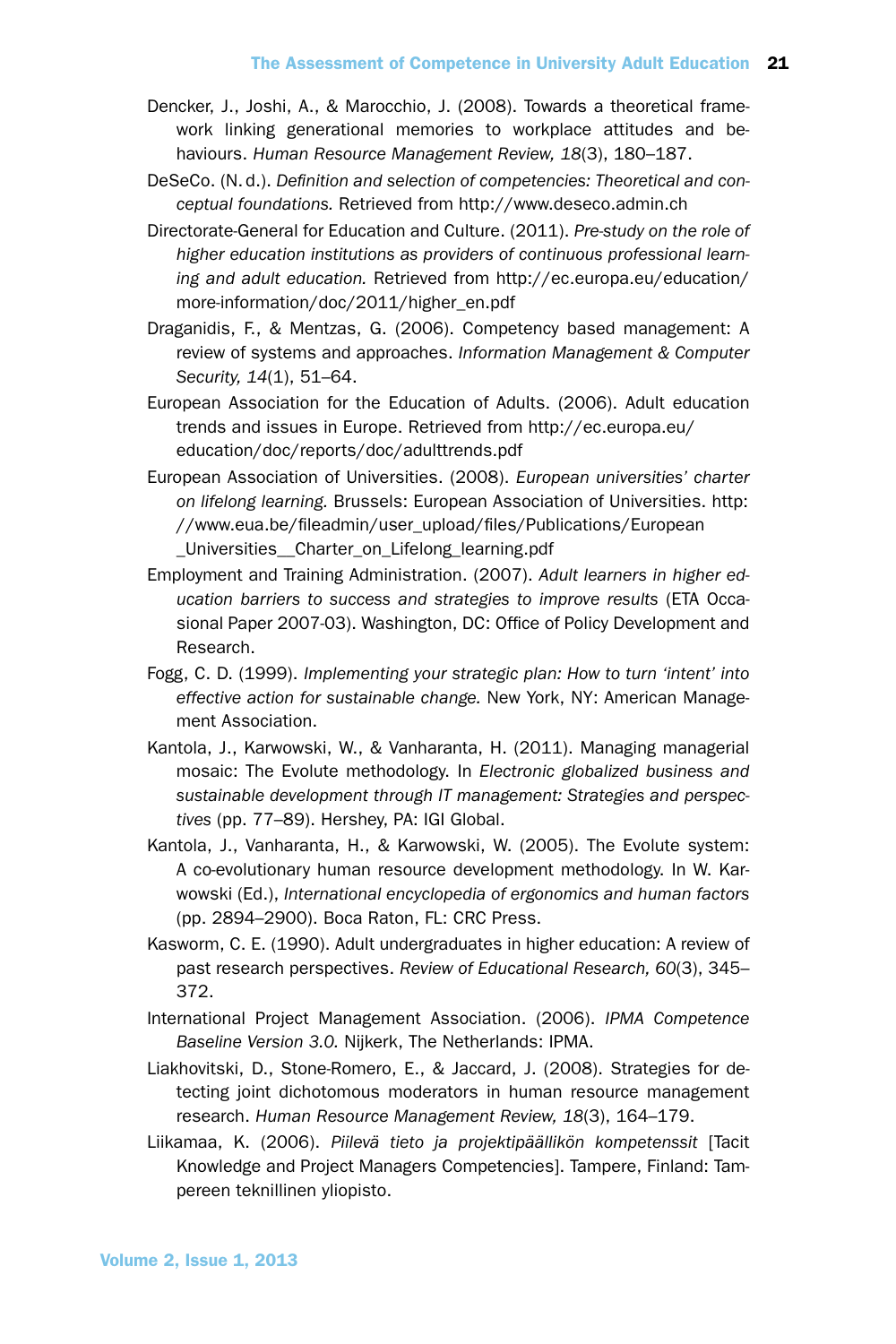- Dencker, J., Joshi, A., & Marocchio, J. (2008). Towards a theoretical framework linking generational memories to workplace attitudes and behaviours. *Human Resource Management Review, 18*(3), 180–187.
- DeSeCo. (N. d.). *Definition and selection of competencies: Theoretical and conceptual foundations.* Retrieved from http://www.deseco.admin.ch
- Directorate-General for Education and Culture. (2011). *Pre-study on the role of higher education institutions as providers of continuous professional learning and adult education.* Retrieved from http://ec.europa.eu/education/ more-information/doc/2011/higher\_en.pdf
- Draganidis, F., & Mentzas, G. (2006). Competency based management: A review of systems and approaches. *Information Management & Computer Security, 14*(1), 51–64.
- European Association for the Education of Adults. (2006). Adult education trends and issues in Europe. Retrieved from http://ec.europa.eu/ education/doc/reports/doc/adulttrends.pdf
- European Association of Universities. (2008). *European universities' charter on lifelong learning.* Brussels: European Association of Universities. http: //www.eua.be/fileadmin/user\_upload/files/Publications/European \_Universities\_\_Charter\_on\_Lifelong\_learning.pdf
- Employment and Training Administration. (2007). *Adult learners in higher education barriers to success and strategies to improve results* (ETA Occasional Paper 2007-03). Washington, DC: Office of Policy Development and Research.
- Fogg, C. D. (1999). *Implementing your strategic plan: How to turn 'intent' into effective action for sustainable change.* New York, NY: American Management Association.
- Kantola, J., Karwowski, W., & Vanharanta, H. (2011). Managing managerial mosaic: The Evolute methodology. In *Electronic globalized business and sustainable development through IT management: Strategies and perspectives* (pp. 77–89). Hershey, PA: IGI Global.
- Kantola, J., Vanharanta, H., & Karwowski, W. (2005). The Evolute system: A co-evolutionary human resource development methodology. In W. Karwowski (Ed.), *International encyclopedia of ergonomics and human factors* (pp. 2894–2900). Boca Raton, FL: CRC Press.
- Kasworm, C. E. (1990). Adult undergraduates in higher education: A review of past research perspectives. *Review of Educational Research, 60*(3), 345– 372.
- International Project Management Association. (2006). *IPMA Competence Baseline Version 3.0.* Nijkerk, The Netherlands: IPMA.
- Liakhovitski, D., Stone-Romero, E., & Jaccard, J. (2008). Strategies for detecting joint dichotomous moderators in human resource management research. *Human Resource Management Review, 18*(3), 164–179.
- Liikamaa, K. (2006). *Piilevä tieto ja projektipäällikön kompetenssit* [Tacit Knowledge and Project Managers Competencies]. Tampere, Finland: Tampereen teknillinen yliopisto.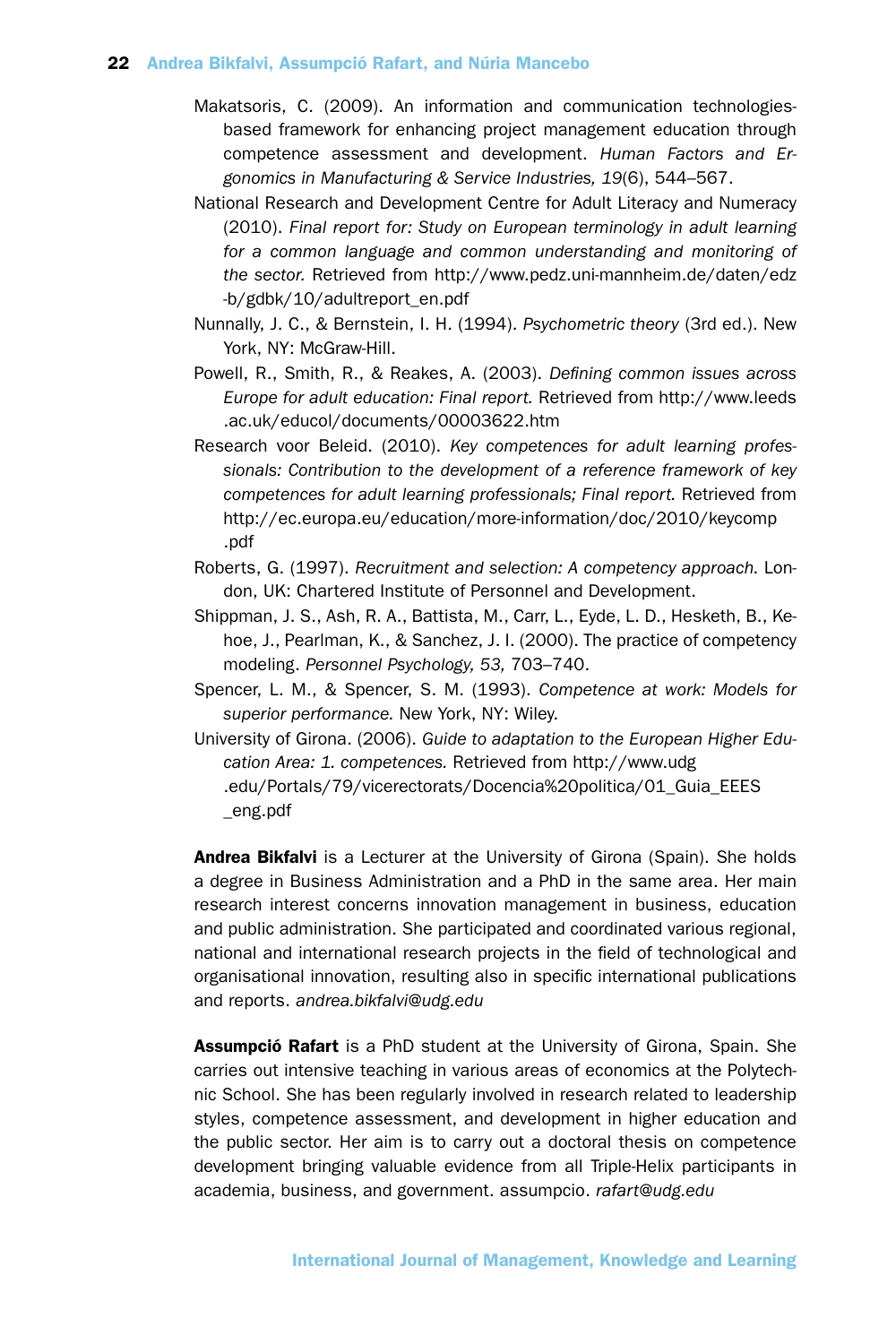- Makatsoris, C. (2009). An information and communication technologiesbased framework for enhancing project management education through competence assessment and development. *Human Factors and Ergonomics in Manufacturing & Service Industries, 19*(6), 544–567.
- National Research and Development Centre for Adult Literacy and Numeracy (2010). *Final report for: Study on European terminology in adult learning for a common language and common understanding and monitoring of the sector.* Retrieved from http://www.pedz.uni-mannheim.de/daten/edz -b/gdbk/10/adultreport\_en.pdf
- Nunnally, J. C., & Bernstein, I. H. (1994). *Psychometric theory* (3rd ed.). New York, NY: McGraw-Hill.
- Powell, R., Smith, R., & Reakes, A. (2003). *Defining common issues across Europe for adult education: Final report.* Retrieved from http://www.leeds .ac.uk/educol/documents/00003622.htm
- Research voor Beleid. (2010). *Key competences for adult learning professionals: Contribution to the development of a reference framework of key competences for adult learning professionals; Final report.* Retrieved from http://ec.europa.eu/education/more-information/doc/2010/keycomp .pdf
- Roberts, G. (1997). *Recruitment and selection: A competency approach.* London, UK: Chartered Institute of Personnel and Development.
- Shippman, J. S., Ash, R. A., Battista, M., Carr, L., Eyde, L. D., Hesketh, B., Kehoe, J., Pearlman, K., & Sanchez, J. I. (2000). The practice of competency modeling. *Personnel Psychology, 53,* 703–740.
- Spencer, L. M., & Spencer, S. M. (1993). *Competence at work: Models for superior performance.* New York, NY: Wiley.
- University of Girona. (2006). *Guide to adaptation to the European Higher Education Area: 1. competences.* Retrieved from http://www.udg .edu/Portals/79/vicerectorats/Docencia%20politica/01\_Guia\_EEES \_eng.pdf

Andrea Bikfalvi is a Lecturer at the University of Girona (Spain). She holds a degree in Business Administration and a PhD in the same area. Her main research interest concerns innovation management in business, education and public administration. She participated and coordinated various regional, national and international research projects in the field of technological and organisational innovation, resulting also in specific international publications and reports. *andrea.bikfalvi@udg.edu*

Assumpció Rafart is a PhD student at the University of Girona, Spain. She carries out intensive teaching in various areas of economics at the Polytechnic School. She has been regularly involved in research related to leadership styles, competence assessment, and development in higher education and the public sector. Her aim is to carry out a doctoral thesis on competence development bringing valuable evidence from all Triple-Helix participants in academia, business, and government. assumpcio. *rafart@udg.edu*